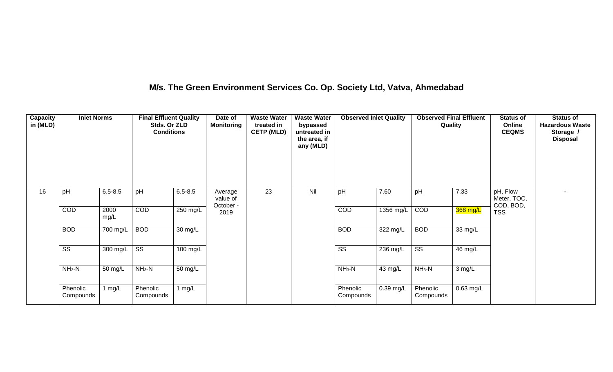## **M/s. The Green Environment Services Co. Op. Society Ltd, Vatva, Ahmedabad**

| Capacity<br>in (MLD) | <b>Inlet Norms</b>     |              | <b>Final Effluent Quality</b><br>Stds. Or ZLD<br><b>Conditions</b> |                    | Date of<br><b>Monitoring</b>     | <b>Waste Water</b><br>treated in<br><b>CETP (MLD)</b> | <b>Waste Water</b><br>bypassed<br>untreated in<br>the area, if<br>any (MLD) | <b>Observed Inlet Quality</b> |             | <b>Observed Final Effluent</b><br>Quality |             | <b>Status of</b><br>Online<br><b>CEQMS</b> | <b>Status of</b><br><b>Hazardous Waste</b><br>Storage /<br><b>Disposal</b> |
|----------------------|------------------------|--------------|--------------------------------------------------------------------|--------------------|----------------------------------|-------------------------------------------------------|-----------------------------------------------------------------------------|-------------------------------|-------------|-------------------------------------------|-------------|--------------------------------------------|----------------------------------------------------------------------------|
| 16                   | pH                     | $6.5 - 8.5$  | pH                                                                 | $6.5 - 8.5$        | Average<br>value of<br>October - | 23                                                    | Nil                                                                         | pH                            | 7.60        | pH                                        | 7.33        | pH, Flow<br>Meter, TOC,<br>COD, BOD,       | ٠                                                                          |
|                      | COD                    | 2000<br>mg/L | COD                                                                | 250 mg/L           | 2019                             |                                                       |                                                                             | COD                           | 1356 mg/L   | COD                                       | 368 mg/L    | <b>TSS</b>                                 |                                                                            |
|                      | <b>BOD</b>             | 700 mg/L     | <b>BOD</b>                                                         | 30 mg/L            |                                  |                                                       |                                                                             | <b>BOD</b>                    | 322 mg/L    | <b>BOD</b>                                | 33 mg/L     |                                            |                                                                            |
|                      | $\overline{\text{ss}}$ | 300 mg/L     | $\overline{\text{ss}}$                                             | $100 \text{ mg/L}$ |                                  |                                                       |                                                                             | $\overline{\text{ss}}$        | 236 mg/L    | $\overline{\text{SS}}$                    | 46 mg/L     |                                            |                                                                            |
|                      | $NH3-N$                | 50 mg/L      | $NH3-N$                                                            | 50 mg/L            |                                  | $NH_3-N$<br>43 mg/L                                   |                                                                             | $NH3-N$                       | 3 mg/L      |                                           |             |                                            |                                                                            |
|                      | Phenolic<br>Compounds  | 1 mg/L       | Phenolic<br>Compounds                                              | 1 $mg/L$           |                                  |                                                       |                                                                             | Phenolic<br>Compounds         | $0.39$ mg/L | Phenolic<br>Compounds                     | $0.63$ mg/L |                                            |                                                                            |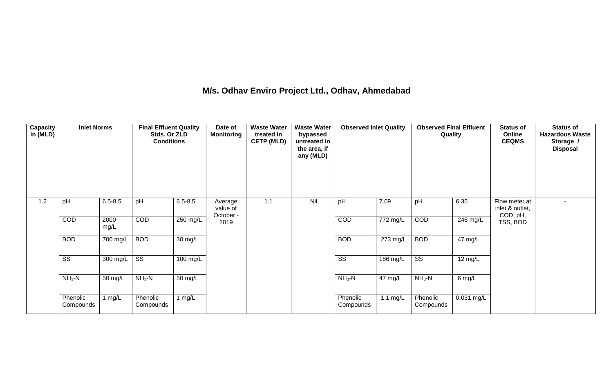## **M/s. Odhav Enviro Project Ltd., Odhav, Ahmedabad**

| Capacity<br>in (MLD) | <b>Inlet Norms</b>     |              | <b>Final Effluent Quality</b><br>Stds. Or ZLD<br><b>Conditions</b> |             | Date of<br><b>Monitoring</b>     | <b>Waste Water</b><br>treated in<br><b>CETP (MLD)</b> | <b>Waste Water</b><br>bypassed<br>untreated in<br>the area, if<br>any (MLD) | <b>Observed Inlet Quality</b> |                        | <b>Observed Final Effluent</b><br>Quality |              | <b>Status of</b><br>Online<br><b>CEQMS</b>   | <b>Status of</b><br><b>Hazardous Waste</b><br>Storage /<br><b>Disposal</b> |
|----------------------|------------------------|--------------|--------------------------------------------------------------------|-------------|----------------------------------|-------------------------------------------------------|-----------------------------------------------------------------------------|-------------------------------|------------------------|-------------------------------------------|--------------|----------------------------------------------|----------------------------------------------------------------------------|
| 1.2                  | pH                     | $6.5 - 8.5$  | pH                                                                 | $6.5 - 8.5$ | Average<br>value of<br>October - | 1.1                                                   | Nil                                                                         | pH                            | 7.09                   | pH                                        | 6.35         | Flow meter at<br>inlet & outlet,<br>COD, pH, | $\overline{\phantom{a}}$                                                   |
|                      | COD                    | 2000<br>mg/L | COD                                                                | 250 mg/L    | 2019                             |                                                       |                                                                             | COD                           | $\overline{77}$ 2 mg/L | COD                                       | 246 mg/L     | TSS, BOD                                     |                                                                            |
|                      | <b>BOD</b>             | 700 mg/L     | <b>BOD</b>                                                         | 30 mg/L     |                                  |                                                       |                                                                             | <b>BOD</b>                    | 273 mg/L               | <b>BOD</b>                                | 47 mg/L      |                                              |                                                                            |
|                      | $\overline{\text{ss}}$ | 300 mg/L     | $\overline{\text{ss}}$                                             | $100$ mg/L  |                                  |                                                       |                                                                             | $\overline{\text{ss}}$        | 186 mg/L               | $\overline{\text{ss}}$                    | 12 mg/L      |                                              |                                                                            |
|                      | $NH3-N$                | 50 mg/L      | $NH3-N$                                                            | 50 mg/L     |                                  |                                                       |                                                                             | $NH3-N$                       | 47 mg/L                | $NH3-N$                                   | 6 mg/L       |                                              |                                                                            |
|                      | Phenolic<br>Compounds  | 1 mg/L       | Phenolic<br>Compounds                                              | 1 $mg/L$    |                                  |                                                       |                                                                             | Phenolic<br>Compounds         | 1.1 $mg/L$             | Phenolic<br>Compounds                     | $0.031$ mg/L |                                              |                                                                            |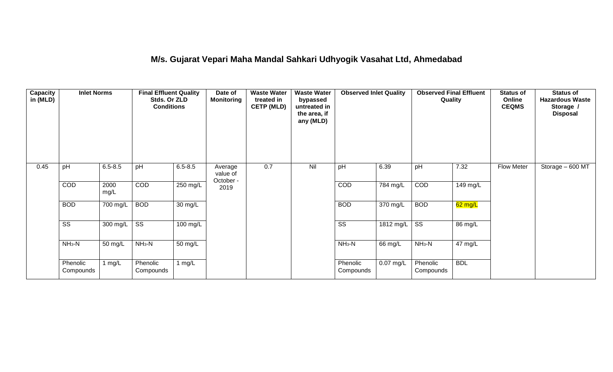## **M/s. Gujarat Vepari Maha Mandal Sahkari Udhyogik Vasahat Ltd, Ahmedabad**

| Capacity<br>in (MLD) | <b>Inlet Norms</b>     |              | <b>Final Effluent Quality</b><br>Stds. Or ZLD<br><b>Conditions</b> |                    | Date of<br><b>Monitoring</b>     | <b>Waste Water</b><br>treated in<br><b>CETP (MLD)</b> | <b>Waste Water</b><br>bypassed<br>untreated in<br>the area, if<br>any (MLD) | <b>Observed Inlet Quality</b> |                       | <b>Observed Final Effluent</b><br>Quality |            | <b>Status of</b><br>Online<br><b>CEQMS</b> | <b>Status of</b><br><b>Hazardous Waste</b><br>Storage /<br><b>Disposal</b> |
|----------------------|------------------------|--------------|--------------------------------------------------------------------|--------------------|----------------------------------|-------------------------------------------------------|-----------------------------------------------------------------------------|-------------------------------|-----------------------|-------------------------------------------|------------|--------------------------------------------|----------------------------------------------------------------------------|
| 0.45                 | pH                     | $6.5 - 8.5$  | pH                                                                 | $6.5 - 8.5$        | Average<br>value of<br>October - | 0.7                                                   | Nil                                                                         | pH                            | 6.39                  | pH                                        | 7.32       | <b>Flow Meter</b>                          | Storage - 600 MT                                                           |
|                      | COD                    | 2000<br>mg/L | COD                                                                | 250 mg/L           | 2019                             |                                                       |                                                                             | COD                           | $\overline{78}4$ mg/L | COD                                       | 149 mg/L   |                                            |                                                                            |
|                      | <b>BOD</b>             | 700 mg/L     | <b>BOD</b>                                                         | 30 mg/L            |                                  |                                                       |                                                                             | <b>BOD</b>                    | 370 mg/L              | <b>BOD</b>                                | $62$ mg/L  |                                            |                                                                            |
|                      | $\overline{\text{ss}}$ | 300 mg/L     | $\overline{\text{ss}}$                                             | $100 \text{ mg/L}$ |                                  |                                                       |                                                                             | $\overline{\text{ss}}$        | $1812 \text{ mg/L}$   | $\overline{\text{ss}}$                    | 86 mg/L    |                                            |                                                                            |
|                      | $NH3-N$                | 50 mg/L      | $NH3-N$                                                            | 50 mg/L            |                                  |                                                       |                                                                             | $NH3-N$                       | 66 mg/L               | $NH3-N$                                   | 47 mg/L    |                                            |                                                                            |
|                      | Phenolic<br>Compounds  | 1 mg/L       | Phenolic<br>Compounds                                              | 1 mg/L             |                                  |                                                       |                                                                             | Phenolic<br>Compounds         | $0.07$ mg/L           | Phenolic<br>Compounds                     | <b>BDL</b> |                                            |                                                                            |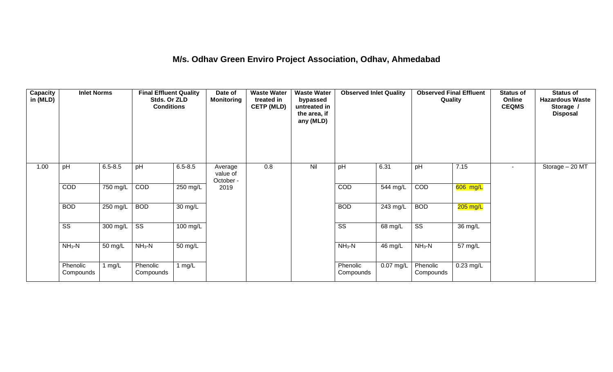### **M/s. Odhav Green Enviro Project Association, Odhav, Ahmedabad**

| <b>Capacity</b><br>in (MLD) | <b>Inlet Norms</b>     |             | <b>Final Effluent Quality</b><br>Stds. Or ZLD<br><b>Conditions</b> |             | Date of<br><b>Monitoring</b>     | <b>Waste Water</b><br>treated in<br><b>CETP (MLD)</b> | <b>Waste Water</b><br>bypassed<br>untreated in<br>the area, if<br>any (MLD) | <b>Observed Inlet Quality</b> |           | <b>Observed Final Effluent</b><br>Quality |             | <b>Status of</b><br>Online<br><b>CEQMS</b> | <b>Status of</b><br><b>Hazardous Waste</b><br>Storage /<br><b>Disposal</b> |
|-----------------------------|------------------------|-------------|--------------------------------------------------------------------|-------------|----------------------------------|-------------------------------------------------------|-----------------------------------------------------------------------------|-------------------------------|-----------|-------------------------------------------|-------------|--------------------------------------------|----------------------------------------------------------------------------|
| 1.00                        | pH                     | $6.5 - 8.5$ | pH                                                                 | $6.5 - 8.5$ | Average<br>value of<br>October - | 0.8                                                   | Nil                                                                         | pH                            | 6.31      | pH                                        | 7.15        |                                            | Storage - 20 MT                                                            |
|                             | COD                    | 750 mg/L    | COD                                                                | 250 mg/L    | 2019                             |                                                       |                                                                             | COD                           | 544 mg/L  | COD                                       | 606 mg/L    |                                            |                                                                            |
|                             | <b>BOD</b>             | 250 mg/L    | <b>BOD</b>                                                         | 30 mg/L     |                                  |                                                       |                                                                             | <b>BOD</b>                    | 243 mg/L  | <b>BOD</b>                                | $205$ mg/L  |                                            |                                                                            |
|                             | $\overline{\text{ss}}$ | 300 mg/L    | $\overline{\text{ss}}$                                             | 100 mg/L    |                                  |                                                       |                                                                             | $\overline{\text{ss}}$        | 68 mg/L   | $\overline{\text{ss}}$                    | 36 mg/L     |                                            |                                                                            |
|                             | $NH3-N$                | 50 mg/L     | $NH3-N$                                                            | 50 mg/L     |                                  |                                                       |                                                                             | $NH_3-N$                      | 46 mg/L   | $NH3-N$                                   | 57 mg/L     |                                            |                                                                            |
|                             | Phenolic<br>Compounds  | 1 mg/L      | Phenolic<br>Compounds                                              | 1 $mg/L$    |                                  |                                                       |                                                                             | Phenolic<br>Compounds         | 0.07 mg/L | Phenolic<br>Compounds                     | $0.23$ mg/L |                                            |                                                                            |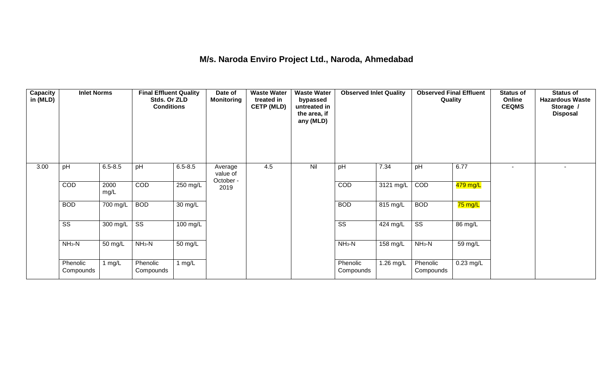## **M/s. Naroda Enviro Project Ltd., Naroda, Ahmedabad**

| <b>Capacity</b><br>in (MLD) | <b>Inlet Norms</b>     |              | <b>Final Effluent Quality</b><br>Stds. Or ZLD<br><b>Conditions</b> |                      | Date of<br><b>Monitoring</b>     | <b>Waste Water</b><br>treated in<br><b>CETP (MLD)</b> | <b>Waste Water</b><br>bypassed<br>untreated in<br>the area, if<br>any (MLD) | <b>Observed Inlet Quality</b> |            | <b>Observed Final Effluent</b><br>Quality |             | <b>Status of</b><br>Online<br><b>CEQMS</b> | <b>Status of</b><br><b>Hazardous Waste</b><br>Storage /<br><b>Disposal</b> |
|-----------------------------|------------------------|--------------|--------------------------------------------------------------------|----------------------|----------------------------------|-------------------------------------------------------|-----------------------------------------------------------------------------|-------------------------------|------------|-------------------------------------------|-------------|--------------------------------------------|----------------------------------------------------------------------------|
| 3.00                        | pH                     | $6.5 - 8.5$  | pH                                                                 | $6.5 - 8.5$          | Average<br>value of<br>October - | 4.5                                                   | Nil                                                                         | pH                            | 7.34       | pH                                        | 6.77        | ۰                                          |                                                                            |
|                             | COD                    | 2000<br>mg/L | COD                                                                | 250 mg/L             | 2019                             |                                                       |                                                                             | COD                           | 3121 mg/L  | COD                                       | 479 mg/L    |                                            |                                                                            |
|                             | <b>BOD</b>             | 700 mg/L     | <b>BOD</b>                                                         | $\overline{30}$ mg/L |                                  |                                                       |                                                                             | <b>BOD</b>                    | 815 mg/L   | <b>BOD</b>                                | 75 mg/L     |                                            |                                                                            |
|                             | $\overline{\text{ss}}$ | 300 mg/L     | $\overline{\text{ss}}$                                             | $100 \text{ mg/L}$   |                                  |                                                       |                                                                             | $\overline{\text{ss}}$        | $424$ mg/L | $\overline{\text{ss}}$                    | 86 mg/L     |                                            |                                                                            |
|                             | $NH3-N$                | 50 mg/L      | $NH3-N$                                                            | 50 mg/L              |                                  |                                                       |                                                                             | $NH3-N$                       | 158 mg/L   | $NH3-N$                                   | 59 mg/L     |                                            |                                                                            |
|                             | Phenolic<br>Compounds  | 1 mg/L       | Phenolic<br>Compounds                                              | 1 $mg/L$             |                                  |                                                       |                                                                             | Phenolic<br>Compounds         | 1.26 mg/L  | Phenolic<br>Compounds                     | $0.23$ mg/L |                                            |                                                                            |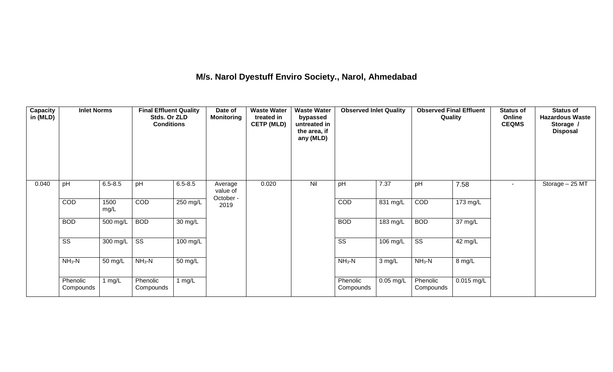## **M/s. Narol Dyestuff Enviro Society., Narol, Ahmedabad**

| <b>Capacity</b><br>in (MLD) | <b>Inlet Norms</b>     |                    | <b>Final Effluent Quality</b><br>Stds. Or ZLD<br><b>Conditions</b> |                      | Date of<br><b>Monitoring</b>     | <b>Waste Water</b><br>treated in<br><b>CETP (MLD)</b> | <b>Waste Water</b><br>bypassed<br>untreated in<br>the area, if<br>any (MLD) | <b>Observed Inlet Quality</b> |                    | <b>Observed Final Effluent</b><br>Quality |            | <b>Status of</b><br>Online<br><b>CEQMS</b> | <b>Status of</b><br><b>Hazardous Waste</b><br>Storage /<br><b>Disposal</b> |
|-----------------------------|------------------------|--------------------|--------------------------------------------------------------------|----------------------|----------------------------------|-------------------------------------------------------|-----------------------------------------------------------------------------|-------------------------------|--------------------|-------------------------------------------|------------|--------------------------------------------|----------------------------------------------------------------------------|
| 0.040                       | pH                     | $6.5 - 8.5$        | pH                                                                 | $6.5 - 8.5$          | Average<br>value of<br>October - | 0.020                                                 | Nil                                                                         | pH                            | 7.37               | pH                                        | 7.58       | $\overline{\phantom{a}}$                   | Storage - 25 MT                                                            |
|                             | COD                    | 1500<br>mg/L       | COD                                                                | 250 mg/L             | 2019                             |                                                       |                                                                             | COD                           | 831 mg/L           | COD                                       | 173 mg/L   |                                            |                                                                            |
|                             | <b>BOD</b>             | 500 mg/L           | <b>BOD</b>                                                         | $\overline{30}$ mg/L |                                  |                                                       |                                                                             | <b>BOD</b>                    | $183 \text{ mg/L}$ | <b>BOD</b>                                | 37 mg/L    |                                            |                                                                            |
|                             | $\overline{\text{ss}}$ | $300 \text{ mg/L}$ | $\overline{\text{ss}}$                                             | $100$ mg/L           |                                  |                                                       |                                                                             | $\overline{\text{ss}}$        | 106 mg/L           | $\overline{\text{ss}}$                    | 42 mg/L    |                                            |                                                                            |
|                             | $NH3-N$                | 50 mg/L            | $NH3-N$                                                            | $\overline{50}$ mg/L |                                  |                                                       |                                                                             | $NH3-N$                       | 3 mg/L             | $NH3-N$                                   | 8 mg/L     |                                            |                                                                            |
|                             | Phenolic<br>Compounds  | 1 $mg/L$           | Phenolic<br>Compounds                                              | 1 $mg/L$             |                                  |                                                       |                                                                             | Phenolic<br>Compounds         | $0.05$ mg/L        | Phenolic<br>Compounds                     | 0.015 mg/L |                                            |                                                                            |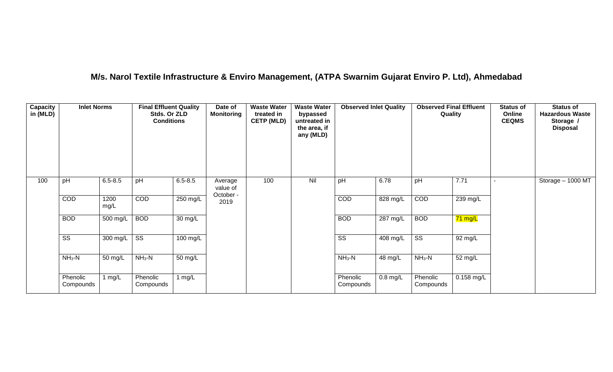## **M/s. Narol Textile Infrastructure & Enviro Management, (ATPA Swarnim Gujarat Enviro P. Ltd), Ahmedabad**

| Capacity<br>in (MLD) | <b>Inlet Norms</b>     |              | <b>Final Effluent Quality</b><br>Stds. Or ZLD<br><b>Conditions</b> |                      | Date of<br><b>Monitoring</b> | <b>Waste Water</b><br>treated in<br><b>CETP (MLD)</b> | <b>Waste Water</b><br>bypassed<br>untreated in<br>the area, if<br>any (MLD) | <b>Observed Inlet Quality</b> |            | <b>Observed Final Effluent</b><br>Quality |            | <b>Status of</b><br>Online<br><b>CEQMS</b> | <b>Status of</b><br><b>Hazardous Waste</b><br>Storage /<br><b>Disposal</b> |
|----------------------|------------------------|--------------|--------------------------------------------------------------------|----------------------|------------------------------|-------------------------------------------------------|-----------------------------------------------------------------------------|-------------------------------|------------|-------------------------------------------|------------|--------------------------------------------|----------------------------------------------------------------------------|
| 100                  | pH                     | $6.5 - 8.5$  | pH                                                                 | $6.5 - 8.5$          | Average<br>value of          | 100                                                   | Nil                                                                         | pH                            | 6.78       | pH                                        | 7.71       |                                            | Storage - 1000 MT                                                          |
|                      | COD                    | 1200<br>mg/L | COD                                                                | $250$ mg/L           | October -<br>2019            |                                                       |                                                                             | COD                           | 828 mg/L   | COD                                       | 239 mg/L   |                                            |                                                                            |
|                      | <b>BOD</b>             | $500$ mg/L   | <b>BOD</b>                                                         | $\overline{30}$ mg/L |                              |                                                       |                                                                             | <b>BOD</b>                    | 287 mg/L   | <b>BOD</b>                                | 71 mg/L    |                                            |                                                                            |
|                      | $\overline{\text{ss}}$ | 300 mg/L     | $\overline{\text{ss}}$                                             | 100 mg/L             |                              |                                                       |                                                                             | $\overline{\text{ss}}$        | $408$ mg/L | $\overline{\text{ss}}$                    | 92 mg/L    |                                            |                                                                            |
|                      | $NH3-N$                | 50 mg/L      | $NH3-N$                                                            | 50 mg/L              |                              |                                                       |                                                                             | $NH_3-N$                      | 48 mg/L    | $NH3-N$                                   | 52 mg/L    |                                            |                                                                            |
|                      | Phenolic<br>Compounds  | 1 $mg/L$     | Phenolic<br>Compounds                                              | 1 $mg/L$             |                              |                                                       |                                                                             | Phenolic<br>Compounds         | $0.8$ mg/L | Phenolic<br>Compounds                     | 0.158 mg/L |                                            |                                                                            |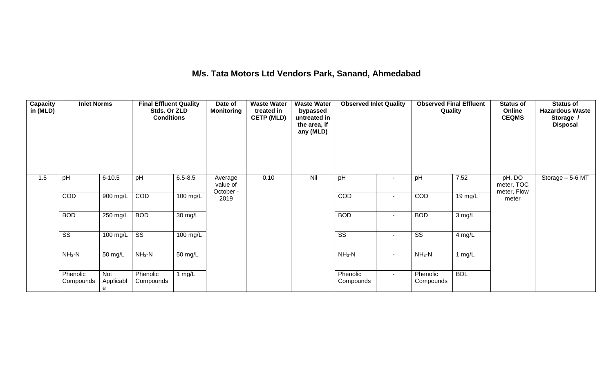## **M/s. Tata Motors Ltd Vendors Park, Sanand, Ahmedabad**

| Capacity<br>in (MLD) | <b>Inlet Norms</b>     |                       | <b>Final Effluent Quality</b><br>Stds. Or ZLD<br><b>Conditions</b> |                      | Date of<br><b>Monitoring</b>     | <b>Waste Water</b><br>treated in<br><b>CETP (MLD)</b> | <b>Waste Water</b><br>bypassed<br>untreated in<br>the area, if<br>any (MLD) | <b>Observed Inlet Quality</b> |        | <b>Observed Final Effluent</b><br>Quality |                   | <b>Status of</b><br>Online<br><b>CEQMS</b> | <b>Status of</b><br><b>Hazardous Waste</b><br>Storage /<br><b>Disposal</b> |
|----------------------|------------------------|-----------------------|--------------------------------------------------------------------|----------------------|----------------------------------|-------------------------------------------------------|-----------------------------------------------------------------------------|-------------------------------|--------|-------------------------------------------|-------------------|--------------------------------------------|----------------------------------------------------------------------------|
| 1.5                  | pH                     | $6 - 10.5$            | pH                                                                 | $6.5 - 8.5$          | Average<br>value of<br>October - | 0.10                                                  | Nil                                                                         | pH                            | $\sim$ | pH                                        | 7.52              | pH, DO<br>meter, TOC<br>meter, Flow        | Storage - 5-6 MT                                                           |
|                      | COD                    | $900$ mg/L            | COD                                                                | $100 \text{ mg/L}$   | 2019                             |                                                       |                                                                             | COD                           | $\sim$ | COD                                       | $19 \text{ mg/L}$ | meter                                      |                                                                            |
|                      | <b>BOD</b>             | $250$ mg/L            | <b>BOD</b>                                                         | $\overline{30}$ mg/L |                                  |                                                       |                                                                             | <b>BOD</b>                    | $\sim$ | <b>BOD</b>                                | 3 mg/L            |                                            |                                                                            |
|                      | $\overline{\text{SS}}$ | 100 mg/L              | $\overline{\text{ss}}$                                             | $100 \text{ mg/L}$   |                                  |                                                       |                                                                             | $\overline{\text{SS}}$        | $\sim$ | $\overline{\text{SS}}$                    | 4 mg/L            |                                            |                                                                            |
|                      | $NH3-N$                | 50 mg/L               | $NH3-N$                                                            | 50 mg/L              |                                  |                                                       |                                                                             | $NH3-N$                       | $\sim$ | $NH_3-N$                                  | 1 $mg/L$          |                                            |                                                                            |
|                      | Phenolic<br>Compounds  | Not<br>Applicabl<br>e | Phenolic<br>Compounds                                              | 1 $mg/L$             |                                  |                                                       |                                                                             | Phenolic<br>Compounds         | $\sim$ | Phenolic<br>Compounds                     | <b>BDL</b>        |                                            |                                                                            |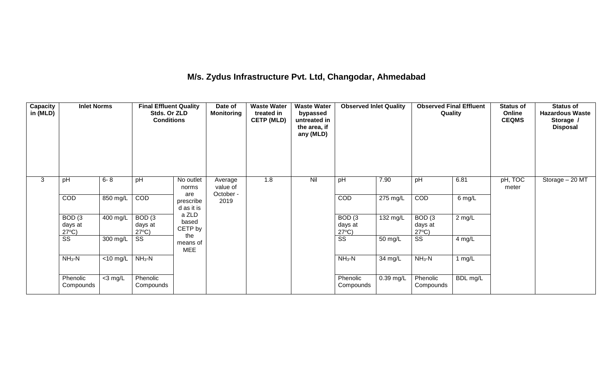## **M/s. Zydus Infrastructure Pvt. Ltd, Changodar, Ahmedabad**

| <b>Capacity</b><br>in (MLD) | <b>Inlet Norms</b>                              |                               | <b>Final Effluent Quality</b><br>Stds. Or ZLD<br><b>Conditions</b> |                               | Date of<br><b>Monitoring</b>     | <b>Waste Water</b><br>treated in<br><b>CETP (MLD)</b> | <b>Waste Water</b><br>bypassed<br>untreated in<br>the area, if<br>any (MLD) | <b>Observed Inlet Quality</b>                   |           | <b>Observed Final Effluent</b><br>Quality |          | <b>Status of</b><br>Online<br><b>CEQMS</b> | <b>Status of</b><br><b>Hazardous Waste</b><br>Storage /<br><b>Disposal</b> |
|-----------------------------|-------------------------------------------------|-------------------------------|--------------------------------------------------------------------|-------------------------------|----------------------------------|-------------------------------------------------------|-----------------------------------------------------------------------------|-------------------------------------------------|-----------|-------------------------------------------|----------|--------------------------------------------|----------------------------------------------------------------------------|
| 3                           | pH                                              | $6 - 8$                       | pH                                                                 | No outlet<br>norms<br>are     | Average<br>value of<br>October - | 1.8                                                   | Nil                                                                         | pH                                              | 7.90      | pH                                        | 6.81     | pH, TOC<br>meter                           | Storage $-20$ MT                                                           |
|                             | COD                                             | 850 mg/L                      | COD                                                                | prescribe<br>d as it is       | 2019                             |                                                       |                                                                             | <b>COD</b>                                      | 275 mg/L  | COD                                       | 6 mg/L   |                                            |                                                                            |
|                             | BOD <sub>(3</sub><br>days at<br>$27^{\circ}C$ ) | 400 mg/L                      | BOD <sub>(3</sub><br>days at<br>$27^{\circ}C$ )                    | a ZLD<br>based<br>CETP by     |                                  |                                                       |                                                                             | BOD <sub>(3</sub><br>days at<br>$27^{\circ}C$ ) | 132 mg/L  | BOD(3)<br>days at<br>$27^{\circ}C$ )      | $2$ mg/L |                                            |                                                                            |
|                             | SS                                              | 300 mg/L                      | SS                                                                 | the<br>means of<br><b>MEE</b> |                                  |                                                       |                                                                             | SS                                              | 50 mg/L   | SS                                        | $4$ mg/L |                                            |                                                                            |
|                             | $NH3-N$                                         | $\overline{<}10 \text{ mg/L}$ | $NH3-N$                                                            |                               |                                  |                                                       |                                                                             | $NH3-N$                                         | 34 mg/L   | $NH3-N$                                   | 1 $mg/L$ |                                            |                                                                            |
|                             | Phenolic<br>Compounds                           | $<$ 3 mg/L                    | Phenolic<br>Compounds                                              |                               |                                  |                                                       |                                                                             | Phenolic<br>Compounds                           | 0.39 mg/L | Phenolic<br>Compounds                     | BDL mg/L |                                            |                                                                            |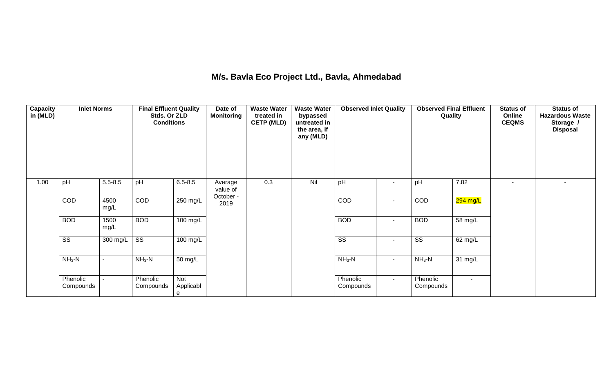## **M/s. Bavla Eco Project Ltd., Bavla, Ahmedabad**

| <b>Capacity</b><br>in (MLD) | <b>Inlet Norms</b>     |              | <b>Final Effluent Quality</b><br>Stds. Or ZLD<br><b>Conditions</b> |                              | Date of<br><b>Monitoring</b>     | <b>Waste Water</b><br>treated in<br><b>CETP (MLD)</b> | <b>Waste Water</b><br>bypassed<br>untreated in<br>the area, if<br>any (MLD) | <b>Observed Inlet Quality</b> |                          |                        | <b>Observed Final Effluent</b><br>Quality | <b>Status of</b><br>Online<br><b>CEQMS</b> | <b>Status of</b><br><b>Hazardous Waste</b><br>Storage /<br><b>Disposal</b> |
|-----------------------------|------------------------|--------------|--------------------------------------------------------------------|------------------------------|----------------------------------|-------------------------------------------------------|-----------------------------------------------------------------------------|-------------------------------|--------------------------|------------------------|-------------------------------------------|--------------------------------------------|----------------------------------------------------------------------------|
| 1.00                        | pH                     | $5.5 - 8.5$  | pH                                                                 | $6.5 - 8.5$                  | Average<br>value of<br>October - | 0.3                                                   | Nil                                                                         | pH                            | $\sim$                   | pH                     | 7.82                                      | $\overline{\phantom{a}}$                   | $\sim$                                                                     |
|                             | COD                    | 4500<br>mg/L | COD                                                                | 250 mg/L                     | 2019                             |                                                       |                                                                             | COD                           | $\sim$                   | COD                    | 294 mg/L                                  |                                            |                                                                            |
|                             | <b>BOD</b>             | 1500<br>mg/L | <b>BOD</b>                                                         | $100$ mg/L                   |                                  |                                                       |                                                                             | <b>BOD</b>                    | $\sim$                   | <b>BOD</b>             | 58 mg/L                                   |                                            |                                                                            |
|                             | $\overline{\text{SS}}$ | $300$ mg/L   | $\overline{\text{ss}}$                                             | $100$ mg/L                   |                                  |                                                       |                                                                             | $\overline{\text{SS}}$        | $\blacksquare$           | $\overline{\text{SS}}$ | 62 mg/L                                   |                                            |                                                                            |
|                             | $NH3-N$                |              | $NH3-N$                                                            | 50 mg/L                      |                                  |                                                       |                                                                             | $NH3-N$                       | $\sim$                   | $NH_3-N$               | 31 mg/L                                   |                                            |                                                                            |
|                             | Phenolic<br>Compounds  |              | Phenolic<br>Compounds                                              | <b>Not</b><br>Applicabl<br>e |                                  |                                                       |                                                                             | Phenolic<br>Compounds         | $\overline{\phantom{a}}$ | Phenolic<br>Compounds  | $\sim$                                    |                                            |                                                                            |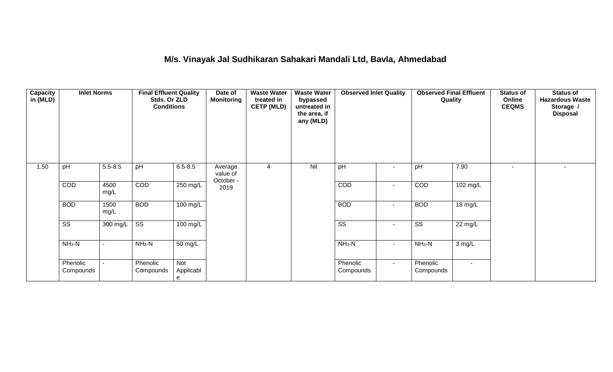## **M/s. Vinayak Jal Sudhikaran Sahakari Mandali Ltd, Bavla, Ahmedabad**

| Capacity<br>in (MLD) | <b>Inlet Norms</b>     |                | <b>Final Effluent Quality</b><br>Stds. Or ZLD<br><b>Conditions</b> |                       | Date of<br><b>Monitoring</b>     | <b>Waste Water</b><br>treated in<br><b>CETP (MLD)</b> | <b>Waste Water</b><br>bypassed<br>untreated in<br>the area, if<br>any (MLD) | <b>Observed Inlet Quality</b> |                          | <b>Observed Final Effluent</b><br>Quality |          | <b>Status of</b><br>Online<br><b>CEQMS</b> | <b>Status of</b><br><b>Hazardous Waste</b><br>Storage /<br><b>Disposal</b> |
|----------------------|------------------------|----------------|--------------------------------------------------------------------|-----------------------|----------------------------------|-------------------------------------------------------|-----------------------------------------------------------------------------|-------------------------------|--------------------------|-------------------------------------------|----------|--------------------------------------------|----------------------------------------------------------------------------|
| 1.50                 | pH                     | $5.5 - 8.5$    | pH                                                                 | $6.5 - 8.5$           | Average<br>value of<br>October - | 4                                                     | Nil                                                                         | pH                            | $\blacksquare$           | pH                                        | 7.90     |                                            | $\overline{\phantom{a}}$                                                   |
|                      | <b>COD</b>             | 4500<br>mg/L   | COD                                                                | 250 mg/L              | 2019                             |                                                       |                                                                             | COD                           | $\overline{\phantom{a}}$ | COD                                       | 102 mg/L |                                            |                                                                            |
|                      | <b>BOD</b>             | 1500<br>mg/L   | <b>BOD</b>                                                         | 100 mg/L              |                                  |                                                       |                                                                             | <b>BOD</b>                    | $\blacksquare$           | <b>BOD</b>                                | 18 mg/L  |                                            |                                                                            |
|                      | $\overline{\text{ss}}$ | 300 mg/L       | $\overline{\text{SS}}$                                             | 100 mg/L              |                                  |                                                       |                                                                             | $\overline{\text{SS}}$        | $\blacksquare$           | $\overline{\text{ss}}$                    | 22 mg/L  |                                            |                                                                            |
|                      | $NH3-N$                | $\sim$         | $NH_3-N$                                                           | 50 mg/L               |                                  |                                                       |                                                                             | $NH_3-N$                      | $\sim$                   | $NH3-N$                                   | 3 mg/L   |                                            |                                                                            |
|                      | Phenolic<br>Compounds  | $\blacksquare$ | Phenolic<br>Compounds                                              | Not<br>Applicabl<br>е |                                  |                                                       |                                                                             | Phenolic<br>Compounds         | $\sim$                   | Phenolic<br>Compounds                     | $\sim$   |                                            |                                                                            |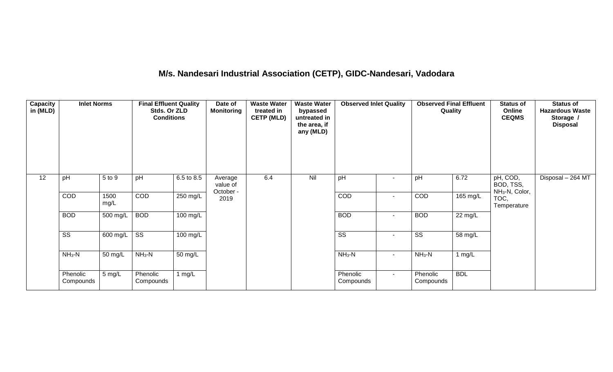# **M/s. Nandesari Industrial Association (CETP), GIDC-Nandesari, Vadodara**

| <b>Capacity</b><br>in (MLD) | <b>Inlet Norms</b>     |                       | <b>Final Effluent Quality</b><br>Stds. Or ZLD<br><b>Conditions</b> |                    | Date of<br><b>Monitoring</b>     | <b>Waste Water</b><br>treated in<br><b>CETP (MLD)</b> | <b>Waste Water</b><br>bypassed<br>untreated in<br>the area, if<br>any (MLD) | <b>Observed Inlet Quality</b> |                | <b>Observed Final Effluent</b><br>Quality |                      | <b>Status of</b><br>Online<br><b>CEQMS</b>          | <b>Status of</b><br><b>Hazardous Waste</b><br>Storage /<br><b>Disposal</b> |
|-----------------------------|------------------------|-----------------------|--------------------------------------------------------------------|--------------------|----------------------------------|-------------------------------------------------------|-----------------------------------------------------------------------------|-------------------------------|----------------|-------------------------------------------|----------------------|-----------------------------------------------------|----------------------------------------------------------------------------|
| 12                          | pH                     | 5 to 9                | pH                                                                 | 6.5 to 8.5         | Average<br>value of<br>October - | 6.4                                                   | Nil                                                                         | pH                            | $\sim$         | pH                                        | 6.72                 | pH, COD,<br>BOD, TSS,<br>NH <sub>3</sub> -N, Color, | Disposal - 264 MT                                                          |
|                             | COD                    | 1500<br>mg/L          | <b>COD</b>                                                         | 250 mg/L           | 2019                             |                                                       |                                                                             | COD                           | $\blacksquare$ | COD                                       | 165 mg/L             | TOC,<br>Temperature                                 |                                                                            |
|                             | <b>BOD</b>             | 500 mg/L              | <b>BOD</b>                                                         | $100 \text{ mg/L}$ |                                  |                                                       |                                                                             | <b>BOD</b>                    | $\sim$         | <b>BOD</b>                                | $\overline{22}$ mg/L |                                                     |                                                                            |
|                             | $\overline{\text{ss}}$ | $600 \text{ mg/L}$ SS |                                                                    | 100 mg/L           |                                  |                                                       |                                                                             | $\overline{\text{ss}}$        | $\sim$         | $\overline{\text{ss}}$                    | 58 mg/L              |                                                     |                                                                            |
|                             | $NH3-N$                | 50 mg/L               | $NH3-N$                                                            | 50 mg/L            |                                  |                                                       |                                                                             | $NH3-N$                       | $\blacksquare$ | $NH_3-N$                                  | 1 $mg/L$             |                                                     |                                                                            |
|                             | Phenolic<br>Compounds  | 5 mg/L                | Phenolic<br>Compounds                                              | 1 $mg/L$           |                                  |                                                       |                                                                             | Phenolic<br>Compounds         | $\sim$         | Phenolic<br>Compounds                     | <b>BDL</b>           |                                                     |                                                                            |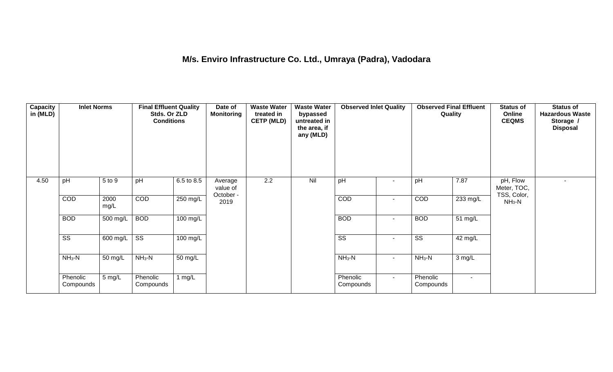## **M/s. Enviro Infrastructure Co. Ltd., Umraya (Padra), Vadodara**

| <b>Capacity</b><br>in (MLD) | <b>Inlet Norms</b>     |                       | <b>Final Effluent Quality</b><br>Stds. Or ZLD<br><b>Conditions</b> |            | Date of<br><b>Monitoring</b>     | <b>Waste Water</b><br>treated in<br><b>CETP (MLD)</b> | <b>Waste Water</b><br>bypassed<br>untreated in<br>the area, if<br>any (MLD) | <b>Observed Inlet Quality</b> |                          | <b>Observed Final Effluent</b><br>Quality |                   | <b>Status of</b><br>Online<br><b>CEQMS</b> | <b>Status of</b><br><b>Hazardous Waste</b><br>Storage /<br><b>Disposal</b> |
|-----------------------------|------------------------|-----------------------|--------------------------------------------------------------------|------------|----------------------------------|-------------------------------------------------------|-----------------------------------------------------------------------------|-------------------------------|--------------------------|-------------------------------------------|-------------------|--------------------------------------------|----------------------------------------------------------------------------|
| 4.50                        | pH                     | 5 to 9                | pH                                                                 | 6.5 to 8.5 | Average<br>value of<br>October - | 2.2                                                   | Nil                                                                         | pH                            |                          | pH                                        | 7.87              | pH, Flow<br>Meter, TOC,<br>TSS, Color,     |                                                                            |
|                             | COD                    | 2000<br>mg/L          | COD                                                                | 250 mg/L   | 2019                             |                                                       |                                                                             | COD                           | $\overline{\phantom{a}}$ | COD                                       | 233 mg/L          | $NH3-N$                                    |                                                                            |
|                             | <b>BOD</b>             | 500 mg/L              | <b>BOD</b>                                                         | $100$ mg/L |                                  |                                                       |                                                                             | <b>BOD</b>                    | $\overline{\phantom{a}}$ | <b>BOD</b>                                | $51 \text{ mg/L}$ |                                            |                                                                            |
|                             | $\overline{\text{ss}}$ | $\overline{600}$ mg/L | $\overline{\text{ss}}$                                             | $100$ mg/L |                                  |                                                       |                                                                             | $\overline{\text{ss}}$        | $\sim$                   | $\overline{\text{ss}}$                    | 42 mg/L           |                                            |                                                                            |
|                             | $NH3-N$                | 50 mg/L               | $NH3-N$                                                            | 50 mg/L    |                                  |                                                       |                                                                             | $NH3-N$                       | $\sim$                   | $NH_3-N$                                  | 3 mg/L            |                                            |                                                                            |
|                             | Phenolic<br>Compounds  | 5 mg/L                | Phenolic<br>Compounds                                              | 1 mg/ $L$  |                                  |                                                       |                                                                             | Phenolic<br>Compounds         | $\sim$                   | Phenolic<br>Compounds                     | $\sim$            |                                            |                                                                            |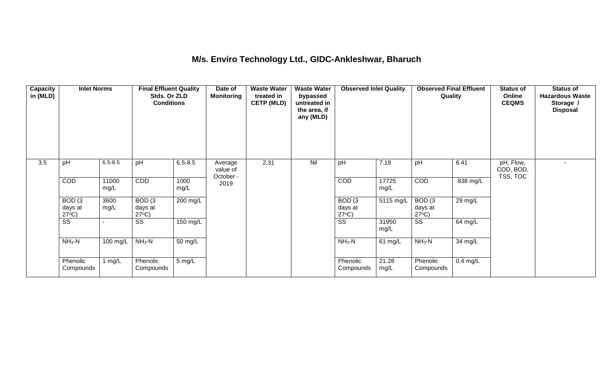### **M/s. Enviro Technology Ltd., GIDC-Ankleshwar, Bharuch**

| <b>Capacity</b><br>in (MLD) | <b>Inlet Norms</b>                              |               | <b>Final Effluent Quality</b><br>Stds. Or ZLD<br><b>Conditions</b> |              | Date of<br><b>Monitoring</b>     | <b>Waste Water</b><br>treated in<br><b>CETP (MLD)</b> | <b>Waste Water</b><br>bypassed<br>untreated in<br>the area, if<br>any (MLD) | <b>Observed Inlet Quality</b>        |               | <b>Observed Final Effluent</b><br>Quality |            | <b>Status of</b><br>Online<br><b>CEQMS</b> | <b>Status of</b><br><b>Hazardous Waste</b><br>Storage /<br><b>Disposal</b> |
|-----------------------------|-------------------------------------------------|---------------|--------------------------------------------------------------------|--------------|----------------------------------|-------------------------------------------------------|-----------------------------------------------------------------------------|--------------------------------------|---------------|-------------------------------------------|------------|--------------------------------------------|----------------------------------------------------------------------------|
| 3.5                         | pH                                              | $6.5 - 8.5$   | pH                                                                 | $6.5 - 8.5$  | Average<br>value of<br>October - | 2.31                                                  | Nil                                                                         | pH                                   | 7.19          | pH                                        | 6.41       | pH, Flow,<br>COD, BOD,<br>TSS, TOC         |                                                                            |
|                             | COD                                             | 11000<br>mg/L | <b>COD</b>                                                         | 1000<br>mg/L | 2019                             |                                                       |                                                                             | <b>COD</b>                           | 17725<br>mg/L | <b>COD</b>                                | 838 mg/L   |                                            |                                                                            |
|                             | BOD <sub>(3</sub><br>days at<br>$27^{\circ}C$ ) | 3600<br>mg/L  | BOD(3)<br>days at<br>$27^{\circ}C$ )                               | $200$ mg/L   |                                  |                                                       |                                                                             | BOD(3)<br>days at<br>$27^{\circ}C$ ) | 5115 mg/L     | BOD(3)<br>days at<br>$27^{\circ}C$ )      | 29 mg/L    |                                            |                                                                            |
|                             | $\overline{\text{ss}}$                          |               | $\overline{\text{SS}}$                                             | 150 mg/L     |                                  |                                                       |                                                                             | $\overline{\text{ss}}$               | 31950<br>mg/L | $\overline{\text{SS}}$                    | 64 mg/L    |                                            |                                                                            |
|                             | $NH3-N$                                         | 100 mg/L      | $NH_3-N$                                                           | 50 mg/L      |                                  |                                                       |                                                                             | $NH_3-N$                             | 61 mg/L       | $NH_3-N$                                  | 34 mg/L    |                                            |                                                                            |
|                             | Phenolic<br>Compounds                           | 1 $mg/L$      | Phenolic<br>Compounds                                              | 5 mg/L       |                                  |                                                       |                                                                             | Phenolic<br>Compounds                | 21.28<br>mg/L | Phenolic<br>Compounds                     | $0.4$ mg/L |                                            |                                                                            |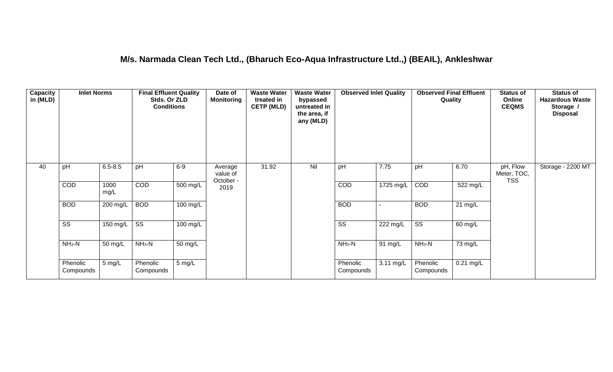### **M/s. Narmada Clean Tech Ltd., (Bharuch Eco-Aqua Infrastructure Ltd.,) (BEAIL), Ankleshwar**

| Capacity<br>in (MLD) | <b>Inlet Norms</b>     |              | <b>Final Effluent Quality</b><br>Stds. Or ZLD<br><b>Conditions</b> |                  | Date of<br><b>Monitoring</b>     | <b>Waste Water</b><br>treated in<br><b>CETP (MLD)</b> | <b>Waste Water</b><br>bypassed<br>untreated in<br>the area, if<br>any (MLD) | <b>Observed Inlet Quality</b> |                     | <b>Observed Final Effluent</b><br>Quality |                   | <b>Status of</b><br>Online<br><b>CEQMS</b> | <b>Status of</b><br><b>Hazardous Waste</b><br>Storage /<br><b>Disposal</b> |
|----------------------|------------------------|--------------|--------------------------------------------------------------------|------------------|----------------------------------|-------------------------------------------------------|-----------------------------------------------------------------------------|-------------------------------|---------------------|-------------------------------------------|-------------------|--------------------------------------------|----------------------------------------------------------------------------|
| 40                   | pH                     | $6.5 - 8.5$  | pH                                                                 | $6-9$            | Average<br>value of<br>October - | 31.92                                                 | Nil                                                                         | pH                            | 7.75                | pH                                        | 6.70              | pH, Flow<br>Meter, TOC,<br><b>TSS</b>      | Storage - 2200 MT                                                          |
|                      | COD                    | 1000<br>mg/L | COD                                                                | 500 mg/L         | 2019                             |                                                       |                                                                             | COD                           | $1725 \text{ mg/L}$ | COD                                       | 522 mg/L          |                                            |                                                                            |
|                      | <b>BOD</b>             | 200 mg/L     | <b>BOD</b>                                                         | 100 mg/L         |                                  |                                                       |                                                                             | <b>BOD</b>                    |                     | <b>BOD</b>                                | $21 \text{ mg/L}$ |                                            |                                                                            |
|                      | $\overline{\text{ss}}$ | 150 mg/L     | $\overline{\text{ss}}$                                             | $100$ mg/L       |                                  |                                                       |                                                                             | $\overline{\text{ss}}$        | 222 mg/L            | $\overline{\text{ss}}$                    | 60 mg/L           |                                            |                                                                            |
|                      | $NH3-N$                | 50 mg/L      | $NH_3-N$                                                           | 50 mg/L          |                                  |                                                       |                                                                             | $NH3-N$                       | 91 mg/L             | $NH3-N$                                   | 73 mg/L           |                                            |                                                                            |
|                      | Phenolic<br>Compounds  | 5 mg/L       | Phenolic<br>Compounds                                              | $5 \text{ mg/L}$ |                                  |                                                       |                                                                             | Phenolic<br>Compounds         | 3.11 mg/L           | Phenolic<br>Compounds                     | $0.21$ mg/L       |                                            |                                                                            |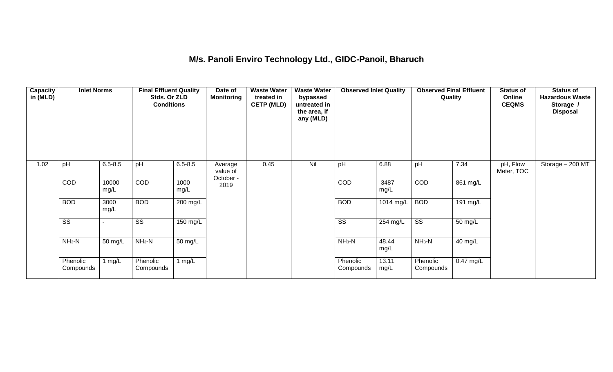## **M/s. Panoli Enviro Technology Ltd., GIDC-Panoil, Bharuch**

| Capacity<br>in (MLD) | <b>Inlet Norms</b>     |               | <b>Final Effluent Quality</b><br>Stds. Or ZLD<br><b>Conditions</b> |              | Date of<br><b>Monitoring</b>     | <b>Waste Water</b><br>treated in<br><b>CETP (MLD)</b> | <b>Waste Water</b><br>bypassed<br>untreated in<br>the area, if<br>any (MLD) | <b>Observed Inlet Quality</b> |               | <b>Observed Final Effluent</b><br>Quality |             | <b>Status of</b><br>Online<br><b>CEQMS</b> | <b>Status of</b><br><b>Hazardous Waste</b><br>Storage /<br><b>Disposal</b> |
|----------------------|------------------------|---------------|--------------------------------------------------------------------|--------------|----------------------------------|-------------------------------------------------------|-----------------------------------------------------------------------------|-------------------------------|---------------|-------------------------------------------|-------------|--------------------------------------------|----------------------------------------------------------------------------|
| 1.02                 | pH                     | $6.5 - 8.5$   | pH                                                                 | $6.5 - 8.5$  | Average<br>value of<br>October - | 0.45                                                  | Nil                                                                         | pH                            | 6.88          | pH                                        | 7.34        | pH, Flow<br>Meter, TOC                     | Storage - 200 MT                                                           |
|                      | COD                    | 10000<br>mg/L | COD                                                                | 1000<br>mg/L | 2019                             |                                                       |                                                                             | <b>COD</b>                    | 3487<br>mg/L  | COD                                       | 861 mg/L    |                                            |                                                                            |
|                      | <b>BOD</b>             | 3000<br>mg/L  | <b>BOD</b>                                                         | 200 mg/L     |                                  |                                                       |                                                                             | <b>BOD</b>                    | 1014 mg/L     | <b>BOD</b>                                | 191 mg/L    |                                            |                                                                            |
|                      | $\overline{\text{ss}}$ |               | $\overline{\text{ss}}$                                             | 150 mg/L     |                                  |                                                       |                                                                             | $\overline{\text{SS}}$        | 254 mg/L      | $\overline{\text{ss}}$                    | 50 mg/L     |                                            |                                                                            |
|                      | $NH3-N$                | 50 mg/L       | $NH3-N$                                                            | 50 mg/L      |                                  |                                                       |                                                                             | $NH3-N$                       | 48.44<br>mg/L | $NH3-N$                                   | 40 mg/L     |                                            |                                                                            |
|                      | Phenolic<br>Compounds  | 1 $mg/L$      | Phenolic<br>Compounds                                              | 1 $mg/L$     |                                  |                                                       |                                                                             | Phenolic<br>Compounds         | 13.11<br>mg/L | Phenolic<br>Compounds                     | $0.47$ mg/L |                                            |                                                                            |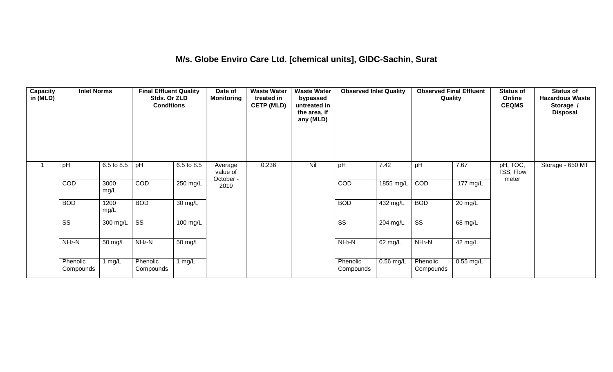### **M/s. Globe Enviro Care Ltd. [chemical units], GIDC-Sachin, Surat**

| Capacity<br>in (MLD) | <b>Inlet Norms</b>     |                       | <b>Final Effluent Quality</b><br>Stds. Or ZLD<br><b>Conditions</b> |                   | Date of<br><b>Monitoring</b>     | <b>Waste Water</b><br>treated in<br><b>CETP (MLD)</b> | <b>Waste Water</b><br>bypassed<br>untreated in<br>the area, if<br>any (MLD) | <b>Observed Inlet Quality</b> |                       | <b>Observed Final Effluent</b><br>Quality |                   | <b>Status of</b><br>Online<br><b>CEQMS</b> | <b>Status of</b><br><b>Hazardous Waste</b><br>Storage /<br><b>Disposal</b> |
|----------------------|------------------------|-----------------------|--------------------------------------------------------------------|-------------------|----------------------------------|-------------------------------------------------------|-----------------------------------------------------------------------------|-------------------------------|-----------------------|-------------------------------------------|-------------------|--------------------------------------------|----------------------------------------------------------------------------|
|                      | pH                     | 6.5 to 8.5            | pH                                                                 | 6.5 to 8.5        | Average<br>value of<br>October - | 0.236                                                 | Nil                                                                         | pH                            | 7.42                  | pH                                        | 7.67              | pH, TOC,<br>TSS, Flow<br>meter             | Storage - 650 MT                                                           |
|                      | COD                    | 3000<br>mg/L          | COD                                                                | 250 mg/L          | 2019                             |                                                       |                                                                             | COD                           | 1855 mg/L             | COD                                       | 177 mg/L          |                                            |                                                                            |
|                      | <b>BOD</b>             | 1200<br>mg/L          | <b>BOD</b>                                                         | $30 \text{ mg/L}$ |                                  |                                                       |                                                                             | <b>BOD</b>                    | $\overline{432}$ mg/L | <b>BOD</b>                                | $20 \text{ mg/L}$ |                                            |                                                                            |
|                      | $\overline{\text{ss}}$ | $\overline{300}$ mg/L | $\overline{\text{ss}}$                                             | $100$ mg/L        |                                  |                                                       |                                                                             | $\overline{\text{ss}}$        | 204 mg/L              | $\overline{\text{ss}}$                    | 68 mg/L           |                                            |                                                                            |
|                      | $NH3-N$                | 50 mg/L               | $NH3-N$                                                            | 50 mg/L           |                                  |                                                       |                                                                             | $NH3-N$                       | 62 mg/L               | $NH3-N$                                   | 42 mg/L           |                                            |                                                                            |
|                      | Phenolic<br>Compounds  | 1 mg/L                | Phenolic<br>Compounds                                              | 1 mg/L            |                                  |                                                       |                                                                             | Phenolic<br>Compounds         | $0.56$ mg/L           | Phenolic<br>Compounds                     | $0.55$ mg/L       |                                            |                                                                            |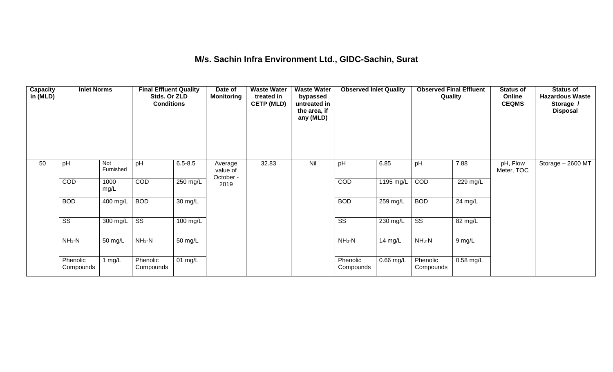### **M/s. Sachin Infra Environment Ltd., GIDC-Sachin, Surat**

| <b>Capacity</b><br>in (MLD) | <b>Inlet Norms</b>     |                  | <b>Final Effluent Quality</b><br>Stds. Or ZLD<br><b>Conditions</b> |                      | Date of<br><b>Monitoring</b>     | <b>Waste Water</b><br>treated in<br><b>CETP (MLD)</b> | <b>Waste Water</b><br>bypassed<br>untreated in<br>the area, if<br>any (MLD) | <b>Observed Inlet Quality</b> |                     | <b>Observed Final Effluent</b><br>Quality |           | <b>Status of</b><br>Online<br><b>CEQMS</b> | <b>Status of</b><br><b>Hazardous Waste</b><br>Storage /<br><b>Disposal</b> |
|-----------------------------|------------------------|------------------|--------------------------------------------------------------------|----------------------|----------------------------------|-------------------------------------------------------|-----------------------------------------------------------------------------|-------------------------------|---------------------|-------------------------------------------|-----------|--------------------------------------------|----------------------------------------------------------------------------|
| 50                          | pH                     | Not<br>Furnished | pH                                                                 | $6.5 - 8.5$          | Average<br>value of<br>October - | 32.83                                                 | Nil                                                                         | pH                            | 6.85                | pH                                        | 7.88      | pH, Flow<br>Meter, TOC                     | Storage - 2600 MT                                                          |
|                             | COD                    | 1000<br>mg/L     | <b>COD</b>                                                         | 250 mg/L             | 2019                             |                                                       |                                                                             | COD                           | $1195 \text{ mg/L}$ | COD                                       | 229 mg/L  |                                            |                                                                            |
|                             | <b>BOD</b>             | 400 mg/L         | <b>BOD</b>                                                         | $\overline{30}$ mg/L |                                  |                                                       |                                                                             | <b>BOD</b>                    | 259 mg/L            | <b>BOD</b>                                | 24 mg/L   |                                            |                                                                            |
|                             | $\overline{\text{ss}}$ | 300 mg/L         | $\overline{\text{SS}}$                                             | $100 \text{ mg/L}$   |                                  |                                                       |                                                                             | $\overline{\text{SS}}$        | 230 mg/L            | $\overline{\text{ss}}$                    | 82 mg/L   |                                            |                                                                            |
|                             | $NH3-N$                | 50 mg/L          | $NH3-N$                                                            | $\overline{50}$ mg/L |                                  |                                                       |                                                                             | $NH3-N$                       | 14 mg/L             | $NH3-N$                                   | 9 mg/L    |                                            |                                                                            |
|                             | Phenolic<br>Compounds  | 1 $mg/L$         | Phenolic<br>Compounds                                              | 01 mg/L              |                                  |                                                       |                                                                             | Phenolic<br>Compounds         | $0.66$ mg/L         | Phenolic<br>Compounds                     | 0.58 mg/L |                                            |                                                                            |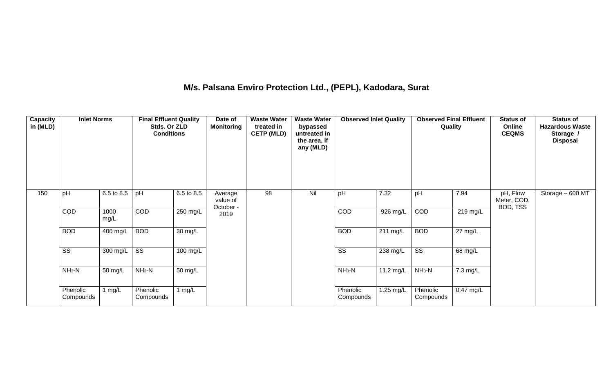## **M/s. Palsana Enviro Protection Ltd., (PEPL), Kadodara, Surat**

| Capacity<br>in (MLD) | <b>Inlet Norms</b>     |              | <b>Final Effluent Quality</b><br>Stds. Or ZLD<br><b>Conditions</b> |            | Date of<br><b>Monitoring</b>     | <b>Waste Water</b><br>treated in<br><b>CETP (MLD)</b> | <b>Waste Water</b><br>bypassed<br>untreated in<br>the area, if<br>any (MLD) | <b>Observed Inlet Quality</b> |           | <b>Observed Final Effluent</b><br>Quality |                   | <b>Status of</b><br>Online<br><b>CEQMS</b> | <b>Status of</b><br><b>Hazardous Waste</b><br>Storage /<br><b>Disposal</b> |
|----------------------|------------------------|--------------|--------------------------------------------------------------------|------------|----------------------------------|-------------------------------------------------------|-----------------------------------------------------------------------------|-------------------------------|-----------|-------------------------------------------|-------------------|--------------------------------------------|----------------------------------------------------------------------------|
| 150                  | pH                     | 6.5 to 8.5   | pH                                                                 | 6.5 to 8.5 | Average<br>value of<br>October - | $\overline{98}$                                       | Nil                                                                         | pH                            | 7.32      | pH                                        | 7.94              | pH, Flow<br>Meter, COD,<br>BOD, TSS        | Storage $-600 \overline{MT}$                                               |
|                      | COD                    | 1000<br>mg/L | COD                                                                | 250 mg/L   | 2019                             |                                                       |                                                                             | COD                           | 926 mg/L  | COD                                       | 219 mg/L          |                                            |                                                                            |
|                      | <b>BOD</b>             | 400 mg/L     | <b>BOD</b>                                                         | 30 mg/L    |                                  |                                                       |                                                                             | <b>BOD</b>                    | 211 mg/L  | <b>BOD</b>                                | $27 \text{ mg/L}$ |                                            |                                                                            |
|                      | $\overline{\text{ss}}$ | 300 mg/L     | $\overline{\text{ss}}$                                             | 100 mg/L   |                                  |                                                       |                                                                             | $\overline{\text{ss}}$        | 238 mg/L  | $\overline{\text{SS}}$                    | 68 mg/L           |                                            |                                                                            |
|                      | $NH_3-N$               | 50 mg/L      | $NH_3-N$                                                           | 50 mg/L    |                                  |                                                       |                                                                             | $NH_3-N$                      | 11.2 mg/L | $NH3-N$                                   | 7.3 mg/L          |                                            |                                                                            |
|                      | Phenolic<br>Compounds  | 1 $mg/L$     | Phenolic<br>Compounds                                              | 1 $mg/L$   |                                  |                                                       |                                                                             | Phenolic<br>Compounds         | 1.25 mg/L | Phenolic<br>Compounds                     | $0.47$ mg/L       |                                            |                                                                            |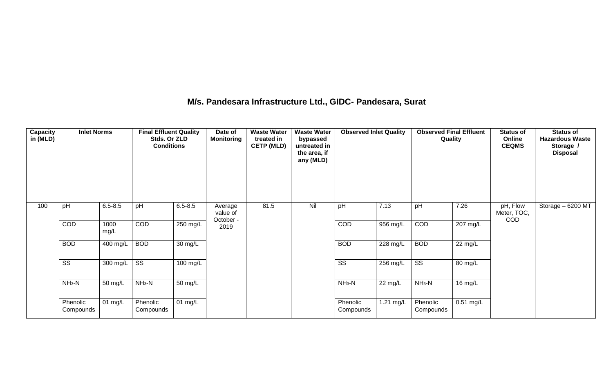### **M/s. Pandesara Infrastructure Ltd., GIDC- Pandesara, Surat**

| Capacity<br>in (MLD) | <b>Inlet Norms</b>     |              | <b>Final Effluent Quality</b><br>Stds. Or ZLD<br><b>Conditions</b> |                      | Date of<br><b>Monitoring</b>     | <b>Waste Water</b><br>treated in<br><b>CETP (MLD)</b> | <b>Waste Water</b><br>bypassed<br>untreated in<br>the area, if<br>any (MLD) | <b>Observed Inlet Quality</b> |                       | <b>Observed Final Effluent</b><br>Quality |                    | <b>Status of</b><br>Online<br><b>CEQMS</b> | <b>Status of</b><br><b>Hazardous Waste</b><br>Storage /<br><b>Disposal</b> |
|----------------------|------------------------|--------------|--------------------------------------------------------------------|----------------------|----------------------------------|-------------------------------------------------------|-----------------------------------------------------------------------------|-------------------------------|-----------------------|-------------------------------------------|--------------------|--------------------------------------------|----------------------------------------------------------------------------|
| 100                  | pH                     | $6.5 - 8.5$  | pH                                                                 | $6.5 - 8.5$          | Average<br>value of<br>October - | 81.5                                                  | Nil                                                                         | pH                            | 7.13                  | pH                                        | 7.26               | pH, Flow<br>Meter, TOC,<br>COD             | Storage - 6200 MT                                                          |
|                      | COD                    | 1000<br>mg/L | COD                                                                | $250 \text{ mg/L}$   | 2019                             |                                                       |                                                                             | <b>COD</b>                    | 956 mg/L              | COD                                       | $207 \text{ mg/L}$ |                                            |                                                                            |
|                      | <b>BOD</b>             | 400 mg/L     | <b>BOD</b>                                                         | $\overline{30}$ mg/L |                                  |                                                       |                                                                             | <b>BOD</b>                    | $\overline{228}$ mg/L | <b>BOD</b>                                | 22 mg/L            |                                            |                                                                            |
|                      | $\overline{\text{ss}}$ | 300 mg/L     | $\overline{\text{SS}}$                                             | 100 mg/L             |                                  |                                                       |                                                                             | $\overline{\text{ss}}$        | 256 mg/L              | $\overline{\text{ss}}$                    | 80 mg/L            |                                            |                                                                            |
|                      | $NH3-N$                | 50 mg/L      | $NH3-N$                                                            | 50 mg/L              |                                  |                                                       |                                                                             | $NH3-N$                       | 22 mg/L               | $NH3-N$                                   | 16 mg/L            |                                            |                                                                            |
|                      | Phenolic<br>Compounds  | 01 mg/L      | Phenolic<br>Compounds                                              | 01 mg/L              |                                  |                                                       |                                                                             | Phenolic<br>Compounds         | 1.21 mg/L             | Phenolic<br>Compounds                     | $0.51$ mg/L        |                                            |                                                                            |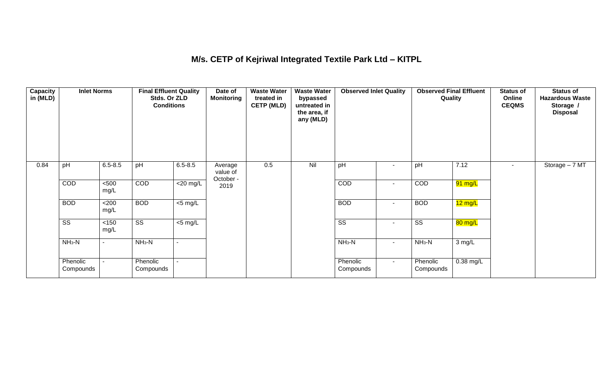## **M/s. CETP of Kejriwal Integrated Textile Park Ltd – KITPL**

| Capacity<br>in (MLD) | <b>Inlet Norms</b>     |                | <b>Final Effluent Quality</b><br>Stds. Or ZLD<br><b>Conditions</b> |                          | Date of<br>Monitoring            | <b>Waste Water</b><br>treated in<br><b>CETP (MLD)</b> | <b>Waste Water</b><br>bypassed<br>untreated in<br>the area, if<br>any (MLD) | <b>Observed Inlet Quality</b> |                | <b>Observed Final Effluent</b><br>Quality |                   | <b>Status of</b><br>Online<br><b>CEQMS</b> | <b>Status of</b><br><b>Hazardous Waste</b><br>Storage /<br><b>Disposal</b> |
|----------------------|------------------------|----------------|--------------------------------------------------------------------|--------------------------|----------------------------------|-------------------------------------------------------|-----------------------------------------------------------------------------|-------------------------------|----------------|-------------------------------------------|-------------------|--------------------------------------------|----------------------------------------------------------------------------|
| 0.84                 | pH                     | $6.5 - 8.5$    | pH                                                                 | $6.5 - 8.5$              | Average<br>value of<br>October - | 0.5                                                   | Nil                                                                         | pH                            |                | pH                                        | 7.12              | ۰.                                         | Storage - 7 MT                                                             |
|                      | COD                    | $500$<br>mg/L  | COD                                                                | $\overline{\leq}20$ mg/L | 2019                             |                                                       |                                                                             | COD                           | $\sim$         | COD                                       | 91 mg/L           |                                            |                                                                            |
|                      | <b>BOD</b>             | <200<br>mg/L   | <b>BOD</b>                                                         | $<$ 5 mg/L               |                                  |                                                       |                                                                             | <b>BOD</b>                    | $\sim$         | <b>BOD</b>                                | $12 \text{ mg/L}$ |                                            |                                                                            |
|                      | $\overline{\text{ss}}$ | $<150$<br>mg/L | $\overline{\text{ss}}$                                             | $<$ 5 mg/L               |                                  |                                                       |                                                                             | $\overline{\text{ss}}$        | $\sim$         | $\overline{\text{ss}}$                    | 80 mg/L           |                                            |                                                                            |
|                      | $NH3-N$                | ۰              | $NH3-N$                                                            |                          |                                  |                                                       |                                                                             | $NH3-N$                       | $\blacksquare$ | $NH3-N$                                   | 3 mg/L            |                                            |                                                                            |
|                      | Phenolic<br>Compounds  |                | Phenolic<br>Compounds                                              |                          |                                  |                                                       |                                                                             | Phenolic<br>Compounds         | $\sim$ .       | Phenolic<br>Compounds                     | $0.38$ mg/L       |                                            |                                                                            |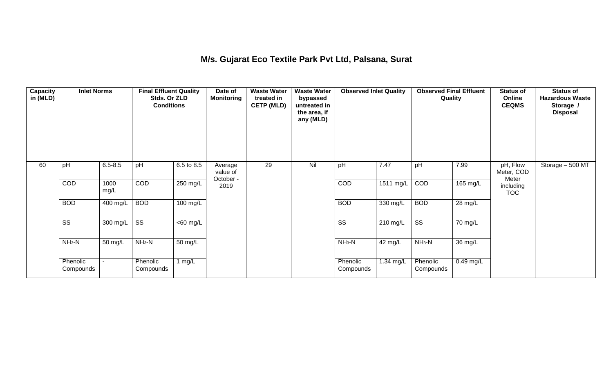## **M/s. Gujarat Eco Textile Park Pvt Ltd, Palsana, Surat**

| Capacity<br>in (MLD) | <b>Inlet Norms</b>     |              | <b>Final Effluent Quality</b><br>Stds. Or ZLD<br><b>Conditions</b> |                       | Date of<br><b>Monitoring</b>     | <b>Waste Water</b><br>treated in<br><b>CETP (MLD)</b> | <b>Waste Water</b><br>bypassed<br>untreated in<br>the area, if<br>any (MLD) | <b>Observed Inlet Quality</b> |                    | <b>Observed Final Effluent</b><br>Quality |                      | <b>Status of</b><br>Online<br><b>CEQMS</b> | <b>Status of</b><br><b>Hazardous Waste</b><br>Storage /<br><b>Disposal</b> |
|----------------------|------------------------|--------------|--------------------------------------------------------------------|-----------------------|----------------------------------|-------------------------------------------------------|-----------------------------------------------------------------------------|-------------------------------|--------------------|-------------------------------------------|----------------------|--------------------------------------------|----------------------------------------------------------------------------|
| 60                   | pH                     | $6.5 - 8.5$  | pH                                                                 | 6.5 to 8.5            | Average<br>value of<br>October - | 29                                                    | Nil                                                                         | pH                            | 7.47               | pH                                        | 7.99                 | pH, Flow<br>Meter, COD<br>Meter            | Storage - 500 MT                                                           |
|                      | COD                    | 1000<br>mg/L | COD                                                                | 250 mg/L              | 2019                             |                                                       |                                                                             | COD                           | 1511 mg/L          | COD                                       | 165 mg/L             | including<br><b>TOC</b>                    |                                                                            |
|                      | <b>BOD</b>             | 400 mg/L     | <b>BOD</b>                                                         | $100 \text{ mg/L}$    |                                  |                                                       |                                                                             | <b>BOD</b>                    | $330$ mg/L         | <b>BOD</b>                                | 28 mg/L              |                                            |                                                                            |
|                      | $\overline{\text{ss}}$ | 300 mg/L     | $\overline{\text{ss}}$                                             | $\overline{<}60$ mg/L |                                  |                                                       |                                                                             | $\overline{\text{ss}}$        | $210 \text{ mg/L}$ | $\overline{\text{ss}}$                    | 70 mg/L              |                                            |                                                                            |
|                      | $NH3-N$                | 50 mg/L      | $NH3-N$                                                            | 50 mg/L               |                                  |                                                       |                                                                             | $NH3-N$                       | 42 mg/L            | $NH_3-N$                                  | $\overline{36}$ mg/L |                                            |                                                                            |
|                      | Phenolic<br>Compounds  |              | Phenolic<br>Compounds                                              | 1 $mg/L$              |                                  |                                                       |                                                                             | Phenolic<br>Compounds         | 1.34 mg/L          | Phenolic<br>Compounds                     | 0.49 mg/L            |                                            |                                                                            |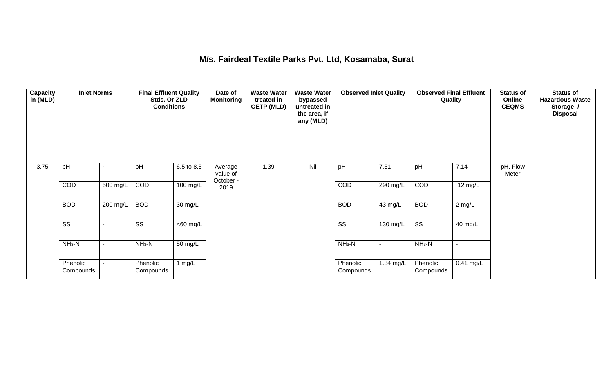### **M/s. Fairdeal Textile Parks Pvt. Ltd, Kosamaba, Surat**

| <b>Capacity</b><br>in (MLD) | <b>Inlet Norms</b>     |          | <b>Final Effluent Quality</b><br>Stds. Or ZLD<br><b>Conditions</b> |                              | Date of<br><b>Monitoring</b>     | <b>Waste Water</b><br>treated in<br><b>CETP (MLD)</b> | <b>Waste Water</b><br>bypassed<br>untreated in<br>the area, if<br>any (MLD) | <b>Observed Inlet Quality</b> |                | <b>Observed Final Effluent</b><br>Quality |                   | <b>Status of</b><br>Online<br><b>CEQMS</b> | <b>Status of</b><br><b>Hazardous Waste</b><br>Storage /<br><b>Disposal</b> |
|-----------------------------|------------------------|----------|--------------------------------------------------------------------|------------------------------|----------------------------------|-------------------------------------------------------|-----------------------------------------------------------------------------|-------------------------------|----------------|-------------------------------------------|-------------------|--------------------------------------------|----------------------------------------------------------------------------|
| 3.75                        | pH                     |          | pH                                                                 | 6.5 to 8.5                   | Average<br>value of<br>October - | 1.39                                                  | Nil                                                                         | pH                            | 7.51           | pH                                        | 7.14              | pH, Flow<br>Meter                          |                                                                            |
|                             | COD                    | 500 mg/L | COD                                                                | $100 \text{ mg/L}$           | 2019                             |                                                       |                                                                             | COD                           | 290 mg/L       | COD                                       | $12 \text{ mg/L}$ |                                            |                                                                            |
|                             | <b>BOD</b>             | 200 mg/L | <b>BOD</b>                                                         | $\overline{30}$ mg/L         |                                  |                                                       |                                                                             | <b>BOD</b>                    | 43 mg/L        | <b>BOD</b>                                | $2$ mg/L          |                                            |                                                                            |
|                             | $\overline{\text{ss}}$ |          | $\overline{\text{ss}}$                                             | $\overline{50 \text{ mg}}$ L |                                  |                                                       |                                                                             | $\overline{\text{ss}}$        | 130 mg/L       | $\overline{\text{ss}}$                    | 40 mg/L           |                                            |                                                                            |
|                             | $NH3-N$                |          | $NH3-N$                                                            | $\overline{50}$ mg/L         |                                  |                                                       |                                                                             | $NH3-N$                       | $\blacksquare$ | $NH3-N$                                   | $\sim$            |                                            |                                                                            |
|                             | Phenolic<br>Compounds  |          | Phenolic<br>Compounds                                              | 1 $mg/L$                     |                                  |                                                       |                                                                             | Phenolic<br>Compounds         | 1.34 mg/L      | Phenolic<br>Compounds                     | $0.41$ mg/L       |                                            |                                                                            |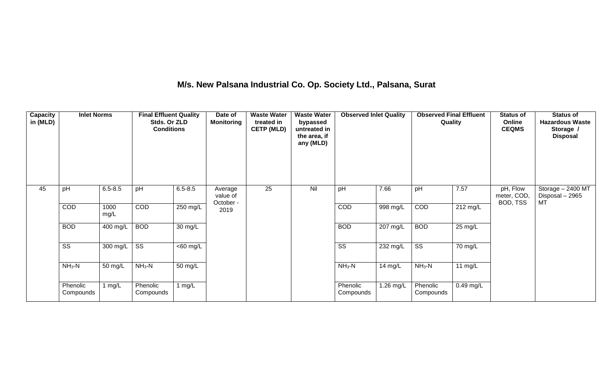## **M/s. New Palsana Industrial Co. Op. Society Ltd., Palsana, Surat**

| <b>Capacity</b><br>in (MLD) | <b>Inlet Norms</b>     |                  | <b>Final Effluent Quality</b><br>Stds. Or ZLD<br><b>Conditions</b> |                   | Date of<br><b>Monitoring</b>     | <b>Waste Water</b><br>treated in<br><b>CETP (MLD)</b> | <b>Waste Water</b><br>bypassed<br>untreated in<br>the area, if<br>any (MLD) | <b>Observed Inlet Quality</b> |           | <b>Observed Final Effluent</b><br>Quality |             | <b>Status of</b><br>Online<br><b>CEQMS</b> | <b>Status of</b><br><b>Hazardous Waste</b><br>Storage /<br><b>Disposal</b> |
|-----------------------------|------------------------|------------------|--------------------------------------------------------------------|-------------------|----------------------------------|-------------------------------------------------------|-----------------------------------------------------------------------------|-------------------------------|-----------|-------------------------------------------|-------------|--------------------------------------------|----------------------------------------------------------------------------|
| 45                          | pH                     | $6.5 - 8.5$      | pH                                                                 | $6.5 - 8.5$       | Average<br>value of<br>October - | 25                                                    | Nil                                                                         | pH                            | 7.66      | pH                                        | 7.57        | pH, Flow<br>meter, COD,<br>BOD, TSS        | Storage - 2400 MT<br>Disposal - 2965<br>MT                                 |
|                             | COD                    | 1000<br>mg/L     | COD                                                                | 250 mg/L          | 2019                             |                                                       |                                                                             | COD                           | 998 mg/L  | COD                                       | 212 mg/L    |                                            |                                                                            |
|                             | <b>BOD</b>             | 400 mg/L         | <b>BOD</b>                                                         | 30 mg/L           |                                  |                                                       |                                                                             | <b>BOD</b>                    | 207 mg/L  | <b>BOD</b>                                | 25 mg/L     |                                            |                                                                            |
|                             | $\overline{\text{ss}}$ | 300 mg/L $\vert$ | $\overline{\text{ss}}$                                             | $<$ 60 mg/L       |                                  |                                                       |                                                                             | $\overline{\text{SS}}$        | 232 mg/L  | $\overline{\text{ss}}$                    | 70 mg/L     |                                            |                                                                            |
|                             | $NH3-N$                | 50 mg/L          | $NH3-N$                                                            | $50 \text{ mg/L}$ |                                  |                                                       |                                                                             | $NH3-N$                       | 14 mg/L   | $NH3-N$                                   | 11 $mg/L$   |                                            |                                                                            |
|                             | Phenolic<br>Compounds  | 1 mg/L           | Phenolic<br>Compounds                                              | 1 $mg/L$          |                                  |                                                       |                                                                             | Phenolic<br>Compounds         | 1.26 mg/L | Phenolic<br>Compounds                     | $0.49$ mg/L |                                            |                                                                            |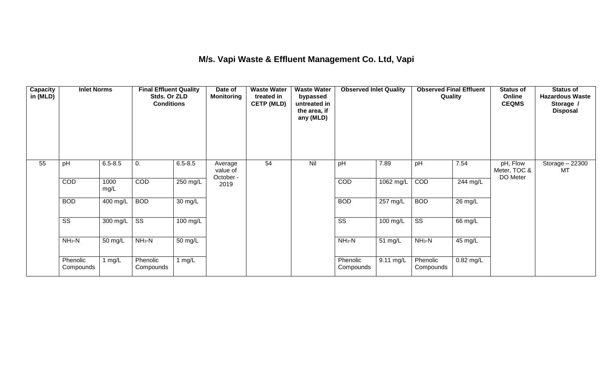## **M/s. Vapi Waste & Effluent Management Co. Ltd, Vapi**

| <b>Capacity</b><br>in (MLD) | <b>Inlet Norms</b>     |              | <b>Final Effluent Quality</b><br>Stds. Or ZLD<br><b>Conditions</b> |                      | Date of<br><b>Monitoring</b>     | <b>Waste Water</b><br>treated in<br><b>CETP (MLD)</b> | <b>Waste Water</b><br>bypassed<br>untreated in<br>the area, if<br>any (MLD) | <b>Observed Inlet Quality</b> |            | <b>Observed Final Effluent</b><br>Quality |           | <b>Status of</b><br>Online<br><b>CEQMS</b> | <b>Status of</b><br><b>Hazardous Waste</b><br>Storage /<br><b>Disposal</b> |
|-----------------------------|------------------------|--------------|--------------------------------------------------------------------|----------------------|----------------------------------|-------------------------------------------------------|-----------------------------------------------------------------------------|-------------------------------|------------|-------------------------------------------|-----------|--------------------------------------------|----------------------------------------------------------------------------|
| 55                          | pH                     | $6.5 - 8.5$  | 0.                                                                 | $6.5 - 8.5$          | Average<br>value of<br>October - | 54                                                    | Nil                                                                         | pH                            | 7.89       | pH                                        | 7.54      | pH, Flow<br>Meter, TOC &<br>DO Meter       | Storage $-22300$<br>MT                                                     |
|                             | COD                    | 1000<br>mg/L | COD                                                                | 250 mg/L             | 2019                             |                                                       |                                                                             | COD                           | 1062 mg/L  | COD                                       | 244 mg/L  |                                            |                                                                            |
|                             | <b>BOD</b>             | $400$ mg/L   | <b>BOD</b>                                                         | $\overline{30}$ mg/L |                                  |                                                       |                                                                             | <b>BOD</b>                    | $257$ mg/L | <b>BOD</b>                                | 26 mg/L   |                                            |                                                                            |
|                             | $\overline{\text{SS}}$ | 300 mg/L     | SS                                                                 | 100 mg/L             |                                  |                                                       |                                                                             | $\overline{\text{SS}}$        | 100 mg/L   | $\overline{\text{ss}}$                    | 66 mg/L   |                                            |                                                                            |
|                             | $NH3-N$                | 50 mg/L      | $NH3-N$                                                            | $\overline{50}$ mg/L |                                  |                                                       |                                                                             | $NH3-N$                       | 51 mg/L    | $NH3-N$                                   | 45 mg/L   |                                            |                                                                            |
|                             | Phenolic<br>Compounds  | 1 $mg/L$     | Phenolic<br>Compounds                                              | 1 $mg/L$             |                                  |                                                       |                                                                             | Phenolic<br>Compounds         | 9.11 mg/L  | Phenolic<br>Compounds                     | 0.82 mg/L |                                            |                                                                            |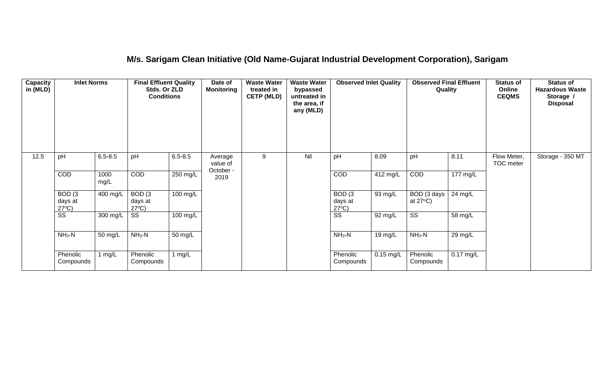## **M/s. Sarigam Clean Initiative (Old Name-Gujarat Industrial Development Corporation), Sarigam**

| <b>Capacity</b><br>in (MLD) | <b>Inlet Norms</b>                              |              | <b>Final Effluent Quality</b><br>Stds. Or ZLD<br><b>Conditions</b> |                      | Date of<br><b>Monitoring</b>     | <b>Waste Water</b><br>treated in<br><b>CETP (MLD)</b> | <b>Waste Water</b><br>bypassed<br>untreated in<br>the area, if<br>any (MLD) | <b>Observed Inlet Quality</b>                   |             | <b>Observed Final Effluent</b><br>Quality |                       | <b>Status of</b><br>Online<br><b>CEQMS</b> | <b>Status of</b><br><b>Hazardous Waste</b><br>Storage /<br><b>Disposal</b> |
|-----------------------------|-------------------------------------------------|--------------|--------------------------------------------------------------------|----------------------|----------------------------------|-------------------------------------------------------|-----------------------------------------------------------------------------|-------------------------------------------------|-------------|-------------------------------------------|-----------------------|--------------------------------------------|----------------------------------------------------------------------------|
| 12.5                        | pH                                              | $6.5 - 8.5$  | pH                                                                 | $6.5 - 8.5$          | Average<br>value of<br>October - | 9                                                     | Nil                                                                         | pH                                              | 8.09        | pH                                        | 8.11                  | Flow Meter,<br>TOC meter                   | Storage - 350 MT                                                           |
|                             | COD                                             | 1000<br>mg/L | <b>COD</b>                                                         | 250 mg/L             | 2019                             |                                                       |                                                                             | <b>COD</b>                                      | 412 mg/L    | COD                                       | $\overline{177}$ mg/L |                                            |                                                                            |
|                             | BOD <sub>(3</sub><br>days at<br>$27^{\circ}C$ ) | 400 mg/L     | BOD <sub>(3</sub><br>days at<br>$27^{\circ}C$ )                    | 100 mg/L             |                                  |                                                       |                                                                             | BOD <sub>(3</sub><br>days at<br>$27^{\circ}C$ ) | 93 mg/L     | BOD (3 days<br>at $27^{\circ}$ C)         | 24 mg/L               |                                            |                                                                            |
|                             | SS                                              | 300 mg/L     | SS                                                                 | 100 mg/L             |                                  |                                                       |                                                                             | $\overline{\text{ss}}$                          | 92 mg/L     | $\overline{\text{ss}}$                    | 58 mg/L               |                                            |                                                                            |
|                             | $NH3-N$                                         | 50 mg/L      | $NH3-N$                                                            | $\overline{50}$ mg/L |                                  |                                                       |                                                                             | $NH3-N$                                         | 19 mg/L     | $NH3-N$                                   | 29 mg/L               |                                            |                                                                            |
|                             | Phenolic<br>Compounds                           | 1 mg/L       | Phenolic<br>Compounds                                              | 1 mg/ $L$            |                                  |                                                       |                                                                             | Phenolic<br>Compounds                           | $0.15$ mg/L | Phenolic<br>Compounds                     | $0.17$ mg/L           |                                            |                                                                            |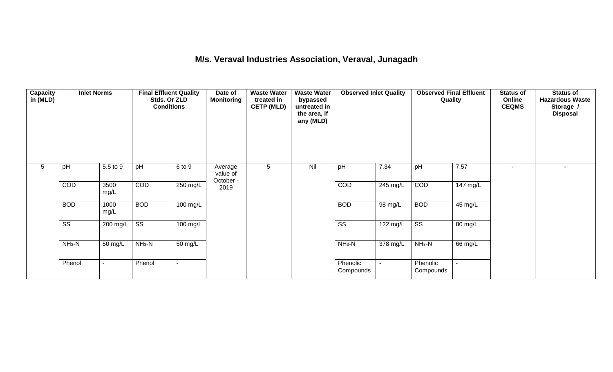### **M/s. Veraval Industries Association, Veraval, Junagadh**

| <b>Capacity</b><br>in (MLD) | <b>Inlet Norms</b>         | <b>Waste Water</b><br><b>Waste Water</b><br><b>Observed Inlet Quality</b><br><b>Final Effluent Quality</b><br>Date of<br>Stds. Or ZLD<br><b>Monitoring</b><br>treated in<br>bypassed<br><b>Conditions</b><br><b>CETP (MLD)</b><br>untreated in<br>the area, if<br>any (MLD) |                        |                    | <b>Observed Final Effluent</b><br>Quality |                | <b>Status of</b><br>Online<br><b>CEQMS</b> | <b>Status of</b><br><b>Hazardous Waste</b><br>Storage /<br><b>Disposal</b> |                               |                        |          |                |  |
|-----------------------------|----------------------------|-----------------------------------------------------------------------------------------------------------------------------------------------------------------------------------------------------------------------------------------------------------------------------|------------------------|--------------------|-------------------------------------------|----------------|--------------------------------------------|----------------------------------------------------------------------------|-------------------------------|------------------------|----------|----------------|--|
| $5\overline{)}$             | pH                         | 5.5 to 9                                                                                                                                                                                                                                                                    | pH                     | 6 to 9             | Average<br>value of<br>October -          | 5 <sup>5</sup> | Nil                                        | pH                                                                         | 7.34                          | pH                     | 7.57     | $\blacksquare$ |  |
|                             | COD                        | 3500<br>mg/L                                                                                                                                                                                                                                                                | COD                    | $250 \text{ mg/L}$ | 2019                                      |                |                                            | COD                                                                        | $245 \text{ mg/L}$            | COD                    | 147 mg/L |                |  |
|                             | <b>BOD</b>                 | 1000<br>mg/L                                                                                                                                                                                                                                                                | <b>BOD</b>             | $100 \text{ mg/L}$ |                                           |                |                                            | <b>BOD</b>                                                                 | 98 mg/L                       | <b>BOD</b>             | 45 mg/L  |                |  |
|                             | $\overline{\text{ss}}$     | 200 mg/L                                                                                                                                                                                                                                                                    | $\overline{\text{ss}}$ | $100$ mg/L         |                                           |                |                                            | $\overline{\text{ss}}$                                                     | $\overline{122 \text{ mg/L}}$ | $\overline{\text{ss}}$ | 80 mg/L  |                |  |
|                             | $NH3-N$                    | 50 mg/L                                                                                                                                                                                                                                                                     | $NH3-N$                | 50 mg/L            |                                           |                |                                            | $NH3-N$                                                                    | 378 mg/L                      | $NH3-N$                | 66 mg/L  |                |  |
|                             | Phenol<br>Phenol<br>$\sim$ |                                                                                                                                                                                                                                                                             | $\sim$                 |                    |                                           |                | Phenolic<br>Compounds                      | $\blacksquare$                                                             | Phenolic<br>Compounds         | $\blacksquare$         |          |                |  |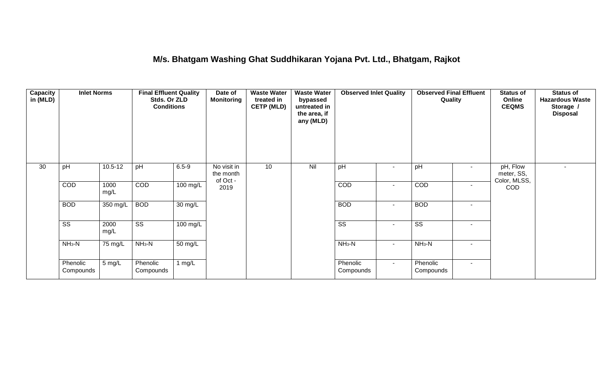### **M/s. Bhatgam Washing Ghat Suddhikaran Yojana Pvt. Ltd., Bhatgam, Rajkot**

| <b>Capacity</b><br>in (MLD) | <b>Inlet Norms</b>     | <b>Final Effluent Quality</b> |                        | Date of<br>Stds. Or ZLD<br><b>Monitoring</b><br><b>Conditions</b> |                                      | <b>Waste Water</b><br>treated in<br><b>CETP (MLD)</b> | <b>Waste Water</b><br>bypassed<br>untreated in<br>the area, if<br>any (MLD) | <b>Observed Inlet Quality</b> |                | <b>Observed Final Effluent</b><br>Quality |                          | <b>Status of</b><br>Online<br><b>CEQMS</b> | <b>Status of</b><br><b>Hazardous Waste</b><br>Storage /<br><b>Disposal</b> |
|-----------------------------|------------------------|-------------------------------|------------------------|-------------------------------------------------------------------|--------------------------------------|-------------------------------------------------------|-----------------------------------------------------------------------------|-------------------------------|----------------|-------------------------------------------|--------------------------|--------------------------------------------|----------------------------------------------------------------------------|
| 30                          | pH                     | $10.5 - 12$                   | pH                     | $6.5 - 9$                                                         | No visit in<br>the month<br>of Oct - | 10                                                    | Nil                                                                         | pH                            | $\blacksquare$ | pH                                        | $\sim$                   | pH, Flow<br>meter, SS,<br>Color, MLSS,     | $\overline{\phantom{0}}$                                                   |
|                             | COD                    | 1000<br>mg/L                  | COD                    | $100$ mg/L                                                        | 2019                                 |                                                       |                                                                             | COD                           | $\blacksquare$ | COD                                       | $\overline{\phantom{a}}$ | <b>COD</b>                                 |                                                                            |
|                             | <b>BOD</b>             | 350 mg/L                      | <b>BOD</b>             | 30 mg/L                                                           |                                      |                                                       |                                                                             | <b>BOD</b>                    | $\blacksquare$ | <b>BOD</b>                                | $\overline{\phantom{a}}$ |                                            |                                                                            |
|                             | $\overline{\text{ss}}$ | 2000<br>mg/L                  | $\overline{\text{ss}}$ | $100 \text{ mg/L}$                                                |                                      |                                                       |                                                                             | $\overline{\text{ss}}$        | $\blacksquare$ | $\overline{\text{ss}}$                    | $\sim$                   |                                            |                                                                            |
|                             | $NH3-N$                | $75 \text{ mg/L}$             | $NH3-N$                | 50 mg/L                                                           |                                      |                                                       |                                                                             | $NH3-N$                       | $\blacksquare$ | $NH3-N$                                   | $\sim$                   |                                            |                                                                            |
|                             | Phenolic<br>Compounds  | 5 mg/L                        | Phenolic<br>Compounds  | 1 $mg/L$                                                          |                                      |                                                       |                                                                             | Phenolic<br>Compounds         | $\sim$         | Phenolic<br>Compounds                     | $\sim$                   |                                            |                                                                            |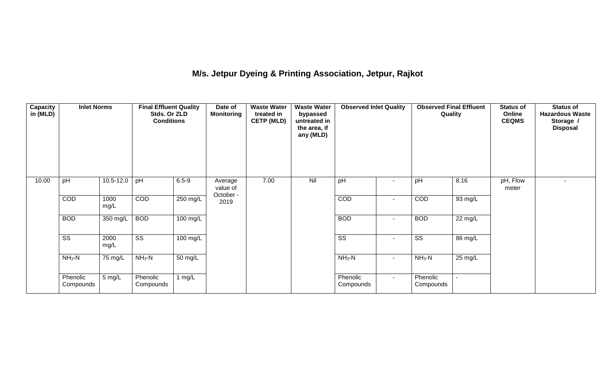# **M/s. Jetpur Dyeing & Printing Association, Jetpur, Rajkot**

| <b>Capacity</b><br>in (MLD) | <b>Inlet Norms</b><br>pH<br>$10.5 - 12.0$ |              | <b>Final Effluent Quality</b><br>Stds. Or ZLD<br><b>Conditions</b> |            | Date of<br><b>Monitoring</b> | <b>Waste Water</b><br>treated in<br><b>CETP (MLD)</b><br>7.00 | <b>Waste Water</b><br>bypassed<br>untreated in<br>the area, if<br>any (MLD) | <b>Observed Inlet Quality</b> |                          | <b>Observed Final Effluent</b><br>Quality |                   | <b>Status of</b><br>Online<br><b>CEQMS</b> | <b>Status of</b><br><b>Hazardous Waste</b><br>Storage /<br><b>Disposal</b> |
|-----------------------------|-------------------------------------------|--------------|--------------------------------------------------------------------|------------|------------------------------|---------------------------------------------------------------|-----------------------------------------------------------------------------|-------------------------------|--------------------------|-------------------------------------------|-------------------|--------------------------------------------|----------------------------------------------------------------------------|
| 10.00                       |                                           |              | pH                                                                 | $6.5 - 9$  | Average<br>value of          |                                                               | Nil                                                                         | pH                            |                          | pH                                        | 8.16              | pH, Flow<br>meter                          | $\overline{\phantom{0}}$                                                   |
|                             | COD                                       | 1000<br>mg/L | COD                                                                | $250$ mg/L | October -<br>2019            |                                                               |                                                                             | COD                           | $\overline{\phantom{a}}$ | COD                                       | 93 mg/L           |                                            |                                                                            |
|                             | <b>BOD</b>                                | 350 mg/L     | <b>BOD</b>                                                         | $100$ mg/L |                              |                                                               |                                                                             | <b>BOD</b>                    | $\blacksquare$           | <b>BOD</b>                                | $22 \text{ mg/L}$ |                                            |                                                                            |
|                             | $\overline{\text{ss}}$                    | 2000<br>mg/L | $\overline{\text{ss}}$                                             | 100 mg/L   |                              |                                                               |                                                                             | $\overline{\text{SS}}$        | $\blacksquare$           | $\overline{\text{SS}}$                    | 86 mg/L           |                                            |                                                                            |
|                             | $NH3-N$                                   | 75 mg/L      | $NH_3-N$                                                           | 50 mg/L    |                              |                                                               |                                                                             | $NH_3-N$                      | $\overline{\phantom{a}}$ | $NH_3-N$                                  | 25 mg/L           |                                            |                                                                            |
|                             | Phenolic<br>Compounds                     | 5 mg/L       | Phenolic<br>Compounds                                              | 1 $mg/L$   |                              |                                                               |                                                                             | Phenolic<br>Compounds         | $\sim$                   | Phenolic<br>Compounds                     | $\blacksquare$    |                                            |                                                                            |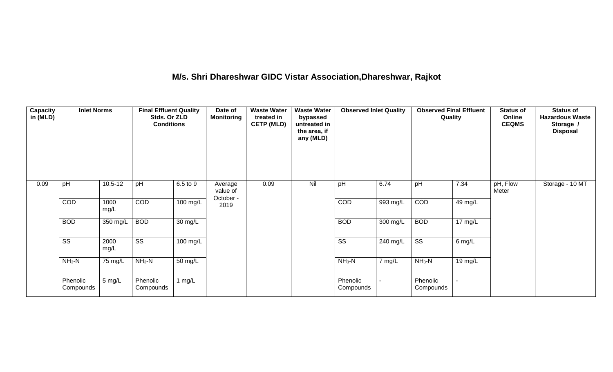# **M/s. Shri Dhareshwar GIDC Vistar Association,Dhareshwar, Rajkot**

| Capacity<br>in (MLD) | <b>Inlet Norms</b>     |              | <b>Final Effluent Quality</b><br>Stds. Or ZLD<br><b>Conditions</b> |                      | Date of<br><b>Monitoring</b>     | <b>Waste Water</b><br>treated in<br><b>CETP (MLD)</b> | <b>Waste Water</b><br>bypassed<br>untreated in<br>the area, if<br>any (MLD) | <b>Observed Inlet Quality</b> |            | <b>Observed Final Effluent</b><br>Quality |                      | <b>Status of</b><br>Online<br><b>CEQMS</b> | <b>Status of</b><br><b>Hazardous Waste</b><br>Storage /<br><b>Disposal</b> |
|----------------------|------------------------|--------------|--------------------------------------------------------------------|----------------------|----------------------------------|-------------------------------------------------------|-----------------------------------------------------------------------------|-------------------------------|------------|-------------------------------------------|----------------------|--------------------------------------------|----------------------------------------------------------------------------|
| 0.09                 | pH                     | $10.5 - 12$  | pH                                                                 | 6.5 to 9             | Average<br>value of<br>October - | 0.09                                                  | Nil                                                                         | pH                            | 6.74       | pH                                        | 7.34                 | pH, Flow<br>Meter                          | Storage - 10 MT                                                            |
|                      | COD                    | 1000<br>mg/L | COD                                                                | $100 \text{ mg/L}$   | 2019                             |                                                       |                                                                             | <b>COD</b>                    | 993 mg/L   | COD                                       | 49 mg/L              |                                            |                                                                            |
|                      | <b>BOD</b>             | 350 mg/L     | <b>BOD</b>                                                         | $\overline{30}$ mg/L |                                  |                                                       |                                                                             | <b>BOD</b>                    | $300$ mg/L | <b>BOD</b>                                | $\overline{17}$ mg/L |                                            |                                                                            |
|                      | $\overline{\text{ss}}$ | 2000<br>mg/L | $\overline{\text{ss}}$                                             | $100 \text{ mg/L}$   |                                  |                                                       |                                                                             | $\overline{\text{ss}}$        | 240 mg/L   | $\overline{\text{SS}}$                    | $6$ mg/L             |                                            |                                                                            |
|                      | $NH3-N$                | 75 mg/L      | $NH3-N$                                                            | $\overline{50}$ mg/L |                                  |                                                       |                                                                             | $NH_3-N$                      | 7 mg/L     | $NH3-N$                                   | 19 mg/L              |                                            |                                                                            |
|                      | Phenolic<br>Compounds  | 5 mg/L       | Phenolic<br>Compounds                                              | 1 $mg/L$             |                                  |                                                       |                                                                             | Phenolic<br>Compounds         |            | Phenolic<br>Compounds                     |                      |                                            |                                                                            |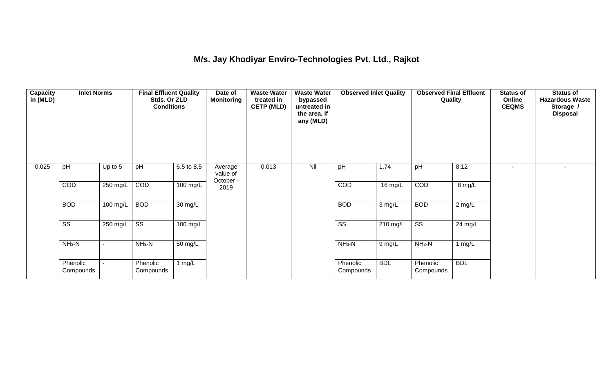## **M/s. Jay Khodiyar Enviro-Technologies Pvt. Ltd., Rajkot**

| <b>Capacity</b><br>in (MLD) | <b>Inlet Norms</b>     |          | <b>Final Effluent Quality</b><br>Stds. Or ZLD<br><b>Conditions</b> |            | Date of<br><b>Monitoring</b>     | <b>Waste Water</b><br>treated in<br><b>CETP (MLD)</b> | <b>Waste Water</b><br>bypassed<br>untreated in<br>the area, if<br>any (MLD) | <b>Observed Inlet Quality</b> |            | <b>Observed Final Effluent</b><br>Quality |                   | <b>Status of</b><br>Online<br><b>CEQMS</b> | <b>Status of</b><br><b>Hazardous Waste</b><br>Storage /<br><b>Disposal</b> |
|-----------------------------|------------------------|----------|--------------------------------------------------------------------|------------|----------------------------------|-------------------------------------------------------|-----------------------------------------------------------------------------|-------------------------------|------------|-------------------------------------------|-------------------|--------------------------------------------|----------------------------------------------------------------------------|
| 0.025                       | pH                     | Up to 5  | pH                                                                 | 6.5 to 8.5 | Average<br>value of<br>October - | 0.013                                                 | Nil                                                                         | pH                            | 1.74       | pH                                        | 8.12              | ۰.                                         |                                                                            |
|                             | COD                    | 250 mg/L | COD                                                                | $100$ mg/L | 2019                             |                                                       |                                                                             | COD                           | 16 mg/L    | COD                                       | 8 mg/L            |                                            |                                                                            |
|                             | <b>BOD</b>             | 100 mg/L | <b>BOD</b>                                                         | 30 mg/L    |                                  |                                                       |                                                                             | <b>BOD</b>                    | $3$ mg/L   | <b>BOD</b>                                | $2$ mg/L          |                                            |                                                                            |
|                             | $\overline{\text{ss}}$ | 250 mg/L | $\overline{\text{ss}}$                                             | $100$ mg/L |                                  |                                                       |                                                                             | $\overline{\text{ss}}$        | 210 mg/L   | $\overline{\text{ss}}$                    | $24 \text{ mg/L}$ |                                            |                                                                            |
|                             | $NH3-N$                |          | $NH3-N$                                                            | 50 mg/L    |                                  |                                                       |                                                                             | $NH3-N$                       | 9 mg/L     | $NH3-N$                                   | 1 mg/L            |                                            |                                                                            |
|                             | Phenolic<br>Compounds  |          | Phenolic<br>Compounds                                              | 1 $mg/L$   |                                  |                                                       |                                                                             | Phenolic<br>Compounds         | <b>BDL</b> | Phenolic<br>Compounds                     | <b>BDL</b>        |                                            |                                                                            |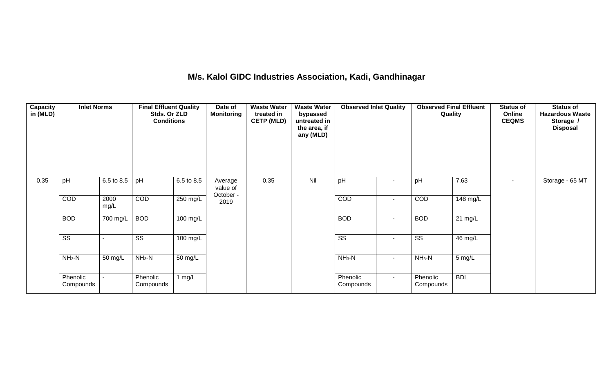### **M/s. Kalol GIDC Industries Association, Kadi, Gandhinagar**

| <b>Capacity</b><br>in (MLD) | <b>Inlet Norms</b>     |              | <b>Final Effluent Quality</b><br>Stds. Or ZLD<br><b>Conditions</b> |                    | Date of<br><b>Monitoring</b>     | <b>Waste Water</b><br>treated in<br><b>CETP (MLD)</b> | <b>Waste Water</b><br>bypassed<br>untreated in<br>the area, if<br>any (MLD) | <b>Observed Inlet Quality</b> |                          | <b>Observed Final Effluent</b><br>Quality |                   | <b>Status of</b><br>Online<br><b>CEQMS</b> | <b>Status of</b><br><b>Hazardous Waste</b><br>Storage /<br><b>Disposal</b> |
|-----------------------------|------------------------|--------------|--------------------------------------------------------------------|--------------------|----------------------------------|-------------------------------------------------------|-----------------------------------------------------------------------------|-------------------------------|--------------------------|-------------------------------------------|-------------------|--------------------------------------------|----------------------------------------------------------------------------|
| 0.35                        | pH                     | 6.5 to 8.5   | pH                                                                 | 6.5 to 8.5         | Average<br>value of<br>October - | 0.35                                                  | Nil                                                                         | pH                            |                          | pH                                        | 7.63              |                                            | Storage - 65 MT                                                            |
|                             | COD                    | 2000<br>mg/L | COD                                                                | 250 mg/L           | 2019                             |                                                       |                                                                             | COD                           | $\overline{\phantom{a}}$ | COD                                       | 148 mg/L          |                                            |                                                                            |
|                             | <b>BOD</b>             | 700 mg/L     | <b>BOD</b>                                                         | $100 \text{ mg/L}$ |                                  |                                                       |                                                                             | <b>BOD</b>                    | $\blacksquare$           | <b>BOD</b>                                | $21 \text{ mg/L}$ |                                            |                                                                            |
|                             | $\overline{\text{ss}}$ |              | $\overline{\text{ss}}$                                             | 100 mg/L           |                                  |                                                       |                                                                             | $\overline{\text{ss}}$        | $\overline{\phantom{a}}$ | $\overline{\text{ss}}$                    | 46 mg/L           |                                            |                                                                            |
|                             | $NH3-N$                | 50 mg/L      | $NH_3-N$                                                           | 50 mg/L            |                                  |                                                       |                                                                             | $NH_3-N$                      | $\sim$                   | $NH3-N$                                   | 5 mg/L            |                                            |                                                                            |
|                             | Phenolic<br>Compounds  | $\sim$       | Phenolic<br>Compounds                                              | 1 mg/L             |                                  |                                                       |                                                                             | Phenolic<br>Compounds         | $\sim$                   | Phenolic<br>Compounds                     | <b>BDL</b>        |                                            |                                                                            |